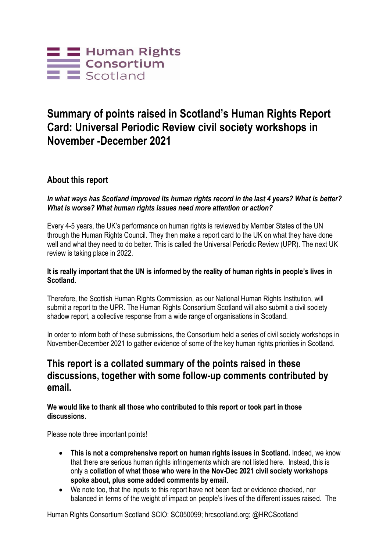

# **Summary of points raised in Scotland's Human Rights Report Card: Universal Periodic Review civil society workshops in November -December 2021**

## **About this report**

### *In what ways has Scotland improved its human rights record in the last 4 years? What is better? What is worse? What human rights issues need more attention or action?*

Every 4-5 years, the UK's performance on human rights is reviewed by Member States of the UN through the Human Rights Council. They then make a report card to the UK on what they have done well and what they need to do better. This is called the Universal Periodic Review (UPR). The next UK review is taking place in 2022.

### **It is really important that the UN is informed by the reality of human rights in people's lives in Scotland.**

Therefore, the Scottish Human Rights Commission, as our National Human Rights Institution, will submit a report to the UPR. The Human Rights Consortium Scotland will also submit a civil society shadow report, a collective response from a wide range of organisations in Scotland.

In order to inform both of these submissions, the Consortium held a series of civil society workshops in November-December 2021 to gather evidence of some of the key human rights priorities in Scotland.

## **This report is a collated summary of the points raised in these discussions, together with some follow-up comments contributed by email.**

**We would like to thank all those who contributed to this report or took part in those discussions.**

Please note three important points!

- **This is not a comprehensive report on human rights issues in Scotland.** Indeed, we know that there are serious human rights infringements which are not listed here. Instead, this is only a **collation of what those who were in the Nov-Dec 2021 civil society workshops spoke about, plus some added comments by email**.
- We note too, that the inputs to this report have not been fact or evidence checked, nor balanced in terms of the weight of impact on people's lives of the different issues raised. The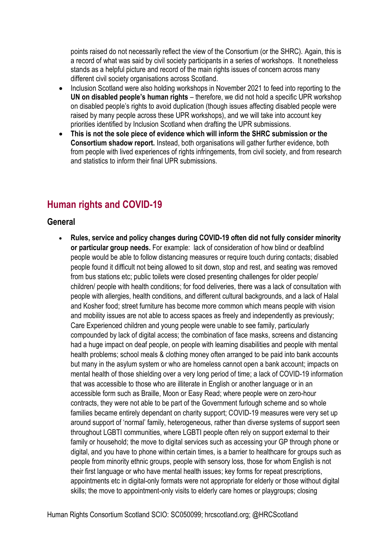points raised do not necessarily reflect the view of the Consortium (or the SHRC). Again, this is a record of what was said by civil society participants in a series of workshops. It nonetheless stands as a helpful picture and record of the main rights issues of concern across many different civil society organisations across Scotland.

- Inclusion Scotland were also holding workshops in November 2021 to feed into reporting to the **UN on disabled people's human rights** – therefore, we did not hold a specific UPR workshop on disabled people's rights to avoid duplication (though issues affecting disabled people were raised by many people across these UPR workshops), and we will take into account key priorities identified by Inclusion Scotland when drafting the UPR submissions.
- **This is not the sole piece of evidence which will inform the SHRC submission or the Consortium shadow report.** Instead, both organisations will gather further evidence, both from people with lived experiences of rights infringements, from civil society, and from research and statistics to inform their final UPR submissions.

# **Human rights and COVID-19**

## **General**

 **Rules, service and policy changes during COVID-19 often did not fully consider minority or particular group needs.** For example: lack of consideration of how blind or deafblind people would be able to follow distancing measures or require touch during contacts; disabled people found it difficult not being allowed to sit down, stop and rest, and seating was removed from bus stations etc; public toilets were closed presenting challenges for older people/ children/ people with health conditions; for food deliveries, there was a lack of consultation with people with allergies, health conditions, and different cultural backgrounds, and a lack of Halal and Kosher food; street furniture has become more common which means people with vision and mobility issues are not able to access spaces as freely and independently as previously; Care Experienced children and young people were unable to see family, particularly compounded by lack of digital access; the combination of face masks, screens and distancing had a huge impact on deaf people, on people with learning disabilities and people with mental health problems; school meals & clothing money often arranged to be paid into bank accounts but many in the asylum system or who are homeless cannot open a bank account; impacts on mental health of those shielding over a very long period of time; a lack of COVID-19 information that was accessible to those who are illiterate in English or another language or in an accessible form such as Braille, Moon or Easy Read; where people were on zero-hour contracts, they were not able to be part of the Government furlough scheme and so whole families became entirely dependant on charity support; COVID-19 measures were very set up around support of 'normal' family, heterogeneous, rather than diverse systems of support seen throughout LGBTI communities, where LGBTI people often rely on support external to their family or household; the move to digital services such as accessing your GP through phone or digital, and you have to phone within certain times, is a barrier to healthcare for groups such as people from minority ethnic groups, people with sensory loss, those for whom English is not their first language or who have mental health issues; key forms for repeat prescriptions, appointments etc in digital-only formats were not appropriate for elderly or those without digital skills; the move to appointment-only visits to elderly care homes or playgroups; closing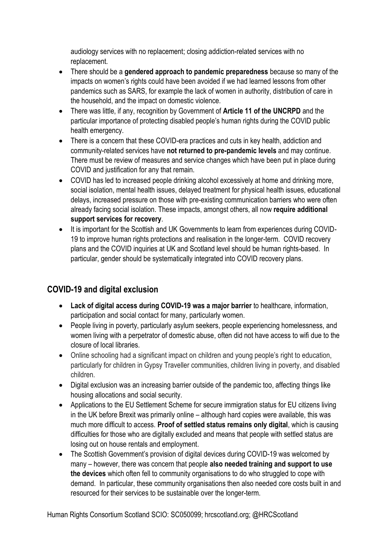audiology services with no replacement; closing addiction-related services with no replacement.

- There should be a **gendered approach to pandemic preparedness** because so many of the impacts on women's rights could have been avoided if we had learned lessons from other pandemics such as SARS, for example the lack of women in authority, distribution of care in the household, and the impact on domestic violence.
- There was little, if any, recognition by Government of **Article 11 of the UNCRPD** and the particular importance of protecting disabled people's human rights during the COVID public health emergency.
- There is a concern that these COVID-era practices and cuts in key health, addiction and community-related services have **not returned to pre-pandemic levels** and may continue. There must be review of measures and service changes which have been put in place during COVID and justification for any that remain.
- COVID has led to increased people drinking alcohol excessively at home and drinking more, social isolation, mental health issues, delayed treatment for physical health issues, educational delays, increased pressure on those with pre-existing communication barriers who were often already facing social isolation. These impacts, amongst others, all now **require additional support services for recovery**.
- It is important for the Scottish and UK Governments to learn from experiences during COVID-19 to improve human rights protections and realisation in the longer-term. COVID recovery plans and the COVID inquiries at UK and Scotland level should be human rights-based. In particular, gender should be systematically integrated into COVID recovery plans.

## **COVID-19 and digital exclusion**

- **Lack of digital access during COVID-19 was a major barrier** to healthcare, information, participation and social contact for many, particularly women.
- People living in poverty, particularly asylum seekers, people experiencing homelessness, and women living with a perpetrator of domestic abuse, often did not have access to wifi due to the closure of local libraries.
- Online schooling had a significant impact on children and young people's right to education, particularly for children in Gypsy Traveller communities, children living in poverty, and disabled children.
- Digital exclusion was an increasing barrier outside of the pandemic too, affecting things like housing allocations and social security.
- Applications to the EU Settlement Scheme for secure immigration status for EU citizens living in the UK before Brexit was primarily online – although hard copies were available, this was much more difficult to access. **Proof of settled status remains only digital**, which is causing difficulties for those who are digitally excluded and means that people with settled status are losing out on house rentals and employment.
- The Scottish Government's provision of digital devices during COVID-19 was welcomed by many – however, there was concern that people **also needed training and support to use the devices** which often fell to community organisations to do who struggled to cope with demand. In particular, these community organisations then also needed core costs built in and resourced for their services to be sustainable over the longer-term.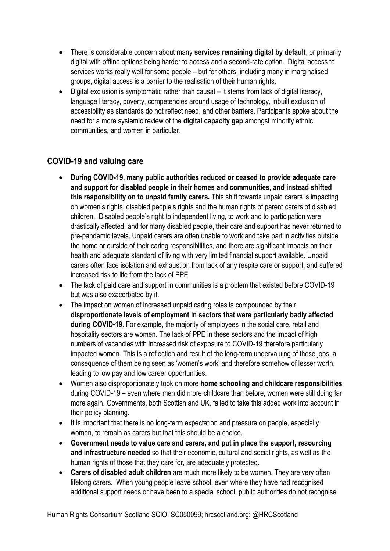- There is considerable concern about many **services remaining digital by default**, or primarily digital with offline options being harder to access and a second-rate option. Digital access to services works really well for some people – but for others, including many in marginalised groups, digital access is a barrier to the realisation of their human rights.
- Digital exclusion is symptomatic rather than causal it stems from lack of digital literacy, language literacy, poverty, competencies around usage of technology, inbuilt exclusion of accessibility as standards do not reflect need, and other barriers. Participants spoke about the need for a more systemic review of the **digital capacity gap** amongst minority ethnic communities, and women in particular.

## **COVID-19 and valuing care**

- **During COVID-19, many public authorities reduced or ceased to provide adequate care and support for disabled people in their homes and communities, and instead shifted this responsibility on to unpaid family carers.** This shift towards unpaid carers is impacting on women's rights, disabled people's rights and the human rights of parent carers of disabled children. Disabled people's right to independent living, to work and to participation were drastically affected, and for many disabled people, their care and support has never returned to pre-pandemic levels. Unpaid carers are often unable to work and take part in activities outside the home or outside of their caring responsibilities, and there are significant impacts on their health and adequate standard of living with very limited financial support available. Unpaid carers often face isolation and exhaustion from lack of any respite care or support, and suffered increased risk to life from the lack of PPE
- The lack of paid care and support in communities is a problem that existed before COVID-19 but was also exacerbated by it.
- The impact on women of increased unpaid caring roles is compounded by their **disproportionate levels of employment in sectors that were particularly badly affected during COVID-19**. For example, the majority of employees in the social care, retail and hospitality sectors are women. The lack of PPE in these sectors and the impact of high numbers of vacancies with increased risk of exposure to COVID-19 therefore particularly impacted women. This is a reflection and result of the long-term undervaluing of these jobs, a consequence of them being seen as 'women's work' and therefore somehow of lesser worth, leading to low pay and low career opportunities.
- Women also disproportionately took on more **home schooling and childcare responsibilities** during COVID-19 – even where men did more childcare than before, women were still doing far more again. Governments, both Scottish and UK, failed to take this added work into account in their policy planning.
- It is important that there is no long-term expectation and pressure on people, especially women, to remain as carers but that this should be a choice.
- **Government needs to value care and carers, and put in place the support, resourcing and infrastructure needed** so that their economic, cultural and social rights, as well as the human rights of those that they care for, are adequately protected.
- **Carers of disabled adult children** are much more likely to be women. They are very often lifelong carers. When young people leave school, even where they have had recognised additional support needs or have been to a special school, public authorities do not recognise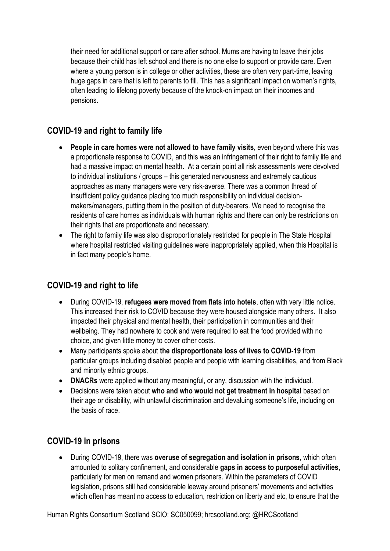their need for additional support or care after school. Mums are having to leave their jobs because their child has left school and there is no one else to support or provide care. Even where a young person is in college or other activities, these are often very part-time, leaving huge gaps in care that is left to parents to fill. This has a significant impact on women's rights, often leading to lifelong poverty because of the knock-on impact on their incomes and pensions.

## **COVID-19 and right to family life**

- **People in care homes were not allowed to have family visits**, even beyond where this was a proportionate response to COVID, and this was an infringement of their right to family life and had a massive impact on mental health. At a certain point all risk assessments were devolved to individual institutions / groups – this generated nervousness and extremely cautious approaches as many managers were very risk-averse. There was a common thread of insufficient policy guidance placing too much responsibility on individual decisionmakers/managers, putting them in the position of duty-bearers. We need to recognise the residents of care homes as individuals with human rights and there can only be restrictions on their rights that are proportionate and necessary.
- The right to family life was also disproportionately restricted for people in The State Hospital where hospital restricted visiting guidelines were inappropriately applied, when this Hospital is in fact many people's home.

## **COVID-19 and right to life**

- During COVID-19, **refugees were moved from flats into hotels**, often with very little notice. This increased their risk to COVID because they were housed alongside many others. It also impacted their physical and mental health, their participation in communities and their wellbeing. They had nowhere to cook and were required to eat the food provided with no choice, and given little money to cover other costs.
- Many participants spoke about **the disproportionate loss of lives to COVID-19** from particular groups including disabled people and people with learning disabilities, and from Black and minority ethnic groups.
- **DNACRs** were applied without any meaningful, or any, discussion with the individual.
- Decisions were taken about **who and who would not get treatment in hospital** based on their age or disability, with unlawful discrimination and devaluing someone's life, including on the basis of race.

## **COVID-19 in prisons**

 During COVID-19, there was **overuse of segregation and isolation in prisons**, which often amounted to solitary confinement, and considerable **gaps in access to purposeful activities**, particularly for men on remand and women prisoners. Within the parameters of COVID legislation, prisons still had considerable leeway around prisoners' movements and activities which often has meant no access to education, restriction on liberty and etc, to ensure that the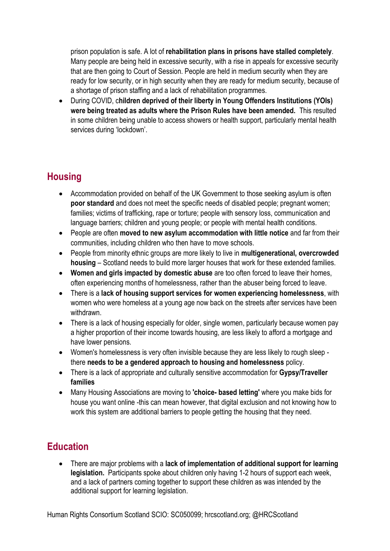prison population is safe. A lot of **rehabilitation plans in prisons have stalled completely**. Many people are being held in excessive security, with a rise in appeals for excessive security that are then going to Court of Session. People are held in medium security when they are ready for low security, or in high security when they are ready for medium security, because of a shortage of prison staffing and a lack of rehabilitation programmes.

 During COVID, c**hildren deprived of their liberty in Young Offenders Institutions (YOIs) were being treated as adults where the Prison Rules have been amended.** This resulted in some children being unable to access showers or health support, particularly mental health services during 'lockdown'.

# **Housing**

- Accommodation provided on behalf of the UK Government to those seeking asylum is often **poor standard** and does not meet the specific needs of disabled people; pregnant women; families; victims of trafficking, rape or torture; people with sensory loss, communication and language barriers; children and young people; or people with mental health conditions.
- People are often **moved to new asylum accommodation with little notice** and far from their communities, including children who then have to move schools.
- People from minority ethnic groups are more likely to live in **multigenerational, overcrowded housing** – Scotland needs to build more larger houses that work for these extended families.
- **Women and girls impacted by domestic abuse** are too often forced to leave their homes, often experiencing months of homelessness, rather than the abuser being forced to leave.
- There is a **lack of housing support services for women experiencing homelessness**, with women who were homeless at a young age now back on the streets after services have been withdrawn.
- There is a lack of housing especially for older, single women, particularly because women pay a higher proportion of their income towards housing, are less likely to afford a mortgage and have lower pensions.
- Women's homelessness is very often invisible because they are less likely to rough sleep there **needs to be a gendered approach to housing and homelessness** policy.
- There is a lack of appropriate and culturally sensitive accommodation for **Gypsy/Traveller families**
- Many Housing Associations are moving to **'choice- based letting'** where you make bids for house you want online -this can mean however, that digital exclusion and not knowing how to work this system are additional barriers to people getting the housing that they need.

# **Education**

 There are major problems with a **lack of implementation of additional support for learning legislation.** Participants spoke about children only having 1-2 hours of support each week, and a lack of partners coming together to support these children as was intended by the additional support for learning legislation.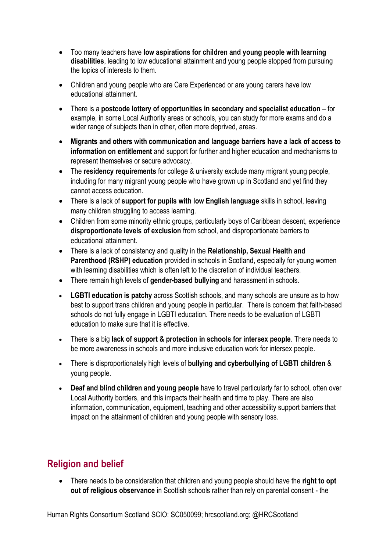- Too many teachers have **low aspirations for children and young people with learning disabilities**, leading to low educational attainment and young people stopped from pursuing the topics of interests to them.
- Children and young people who are Care Experienced or are young carers have low educational attainment.
- There is a **postcode lottery of opportunities in secondary and specialist education** for example, in some Local Authority areas or schools, you can study for more exams and do a wider range of subjects than in other, often more deprived, areas.
- **Migrants and others with communication and language barriers have a lack of access to information on entitlement** and support for further and higher education and mechanisms to represent themselves or secure advocacy.
- The **residency requirements** for college & university exclude many migrant young people, including for many migrant young people who have grown up in Scotland and yet find they cannot access education.
- There is a lack of **support for pupils with low English language** skills in school, leaving many children struggling to access learning.
- Children from some minority ethnic groups, particularly boys of Caribbean descent, experience **disproportionate levels of exclusion** from school, and disproportionate barriers to educational attainment.
- There is a lack of consistency and quality in the **Relationship, Sexual Health and Parenthood (RSHP) education** provided in schools in Scotland, especially for young women with learning disabilities which is often left to the discretion of individual teachers.
- There remain high levels of **gender-based bullying** and harassment in schools.
- **LGBTI education is patchy** across Scottish schools, and many schools are unsure as to how best to support trans children and young people in particular. There is concern that faith-based schools do not fully engage in LGBTI education. There needs to be evaluation of LGBTI education to make sure that it is effective.
- There is a big **lack of support & protection in schools for intersex people**. There needs to be more awareness in schools and more inclusive education work for intersex people.
- There is disproportionately high levels of **bullying and cyberbullying of LGBTI children** & young people.
- **Deaf and blind children and young people** have to travel particularly far to school, often over Local Authority borders, and this impacts their health and time to play. There are also information, communication, equipment, teaching and other accessibility support barriers that impact on the attainment of children and young people with sensory loss.

# **Religion and belief**

 There needs to be consideration that children and young people should have the **right to opt out of religious observance** in Scottish schools rather than rely on parental consent - the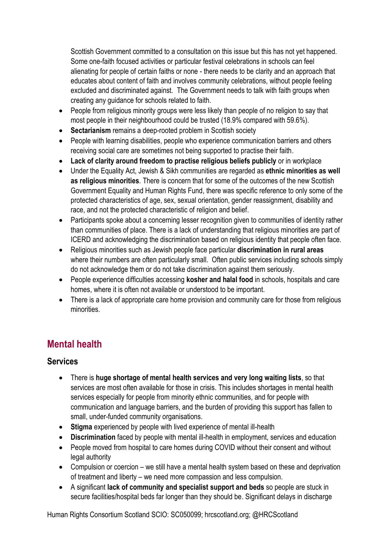Scottish Government committed to a consultation on this issue but this has not yet happened. Some one-faith focused activities or particular festival celebrations in schools can feel alienating for people of certain faiths or none - there needs to be clarity and an approach that educates about content of faith and involves community celebrations, without people feeling excluded and discriminated against. The Government needs to talk with faith groups when creating any guidance for schools related to faith.

- People from religious minority groups were less likely than people of no religion to say that most people in their neighbourhood could be trusted (18.9% compared with 59.6%).
- **Sectarianism** remains a deep-rooted problem in Scottish society
- People with learning disabilities, people who experience communication barriers and others receiving social care are sometimes not being supported to practise their faith.
- **Lack of clarity around freedom to practise religious beliefs publicly** or in workplace
- Under the Equality Act, Jewish & Sikh communities are regarded as **ethnic minorities as well as religious minorities**. There is concern that for some of the outcomes of the new Scottish Government Equality and Human Rights Fund, there was specific reference to only some of the protected characteristics of age, sex, sexual orientation, gender reassignment, disability and race, and not the protected characteristic of religion and belief.
- Participants spoke about a concerning lesser recognition given to communities of identity rather than communities of place. There is a lack of understanding that religious minorities are part of ICERD and acknowledging the discrimination based on religious identity that people often face.
- Religious minorities such as Jewish people face particular **discrimination in rural areas** where their numbers are often particularly small. Often public services including schools simply do not acknowledge them or do not take discrimination against them seriously.
- People experience difficulties accessing **kosher and halal food** in schools, hospitals and care homes, where it is often not available or understood to be important.
- There is a lack of appropriate care home provision and community care for those from religious minorities.

# **Mental health**

## **Services**

- There is **huge shortage of mental health services and very long waiting lists**, so that services are most often available for those in crisis. This includes shortages in mental health services especially for people from minority ethnic communities, and for people with communication and language barriers, and the burden of providing this support has fallen to small, under-funded community organisations.
- **Stigma** experienced by people with lived experience of mental ill-health
- **Discrimination** faced by people with mental ill-health in employment, services and education
- People moved from hospital to care homes during COVID without their consent and without legal authority
- Compulsion or coercion we still have a mental health system based on these and deprivation of treatment and liberty – we need more compassion and less compulsion.
- A significant **lack of community and specialist support and beds** so people are stuck in secure facilities/hospital beds far longer than they should be. Significant delays in discharge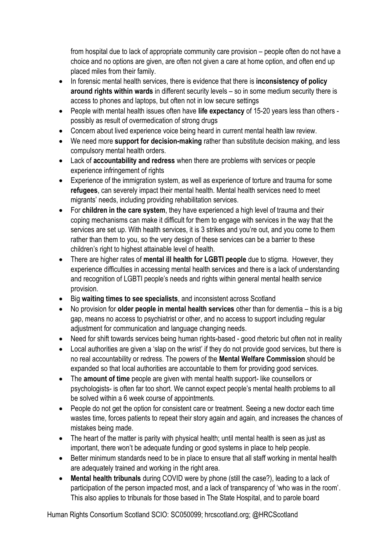from hospital due to lack of appropriate community care provision – people often do not have a choice and no options are given, are often not given a care at home option, and often end up placed miles from their family.

- In forensic mental health services, there is evidence that there is **inconsistency of policy around rights within wards** in different security levels – so in some medium security there is access to phones and laptops, but often not in low secure settings
- People with mental health issues often have **life expectancy** of 15-20 years less than others possibly as result of overmedication of strong drugs
- Concern about lived experience voice being heard in current mental health law review.
- We need more **support for decision-making** rather than substitute decision making, and less compulsory mental health orders.
- Lack of **accountability and redress** when there are problems with services or people experience infringement of rights
- Experience of the immigration system, as well as experience of torture and trauma for some **refugees**, can severely impact their mental health. Mental health services need to meet migrants' needs, including providing rehabilitation services.
- For **children in the care system**, they have experienced a high level of trauma and their coping mechanisms can make it difficult for them to engage with services in the way that the services are set up. With health services, it is 3 strikes and you're out, and you come to them rather than them to you, so the very design of these services can be a barrier to these children's right to highest attainable level of health.
- There are higher rates of **mental ill health for LGBTI people** due to stigma. However, they experience difficulties in accessing mental health services and there is a lack of understanding and recognition of LGBTI people's needs and rights within general mental health service provision.
- Big **waiting times to see specialists**, and inconsistent across Scotland
- No provision for **older people in mental health services** other than for dementia this is a big gap, means no access to psychiatrist or other, and no access to support including regular adjustment for communication and language changing needs.
- Need for shift towards services being human rights-based good rhetoric but often not in reality
- Local authorities are given a 'slap on the wrist' if they do not provide good services, but there is no real accountability or redress. The powers of the **Mental Welfare Commission** should be expanded so that local authorities are accountable to them for providing good services.
- The **amount of time** people are given with mental health support- like counsellors or psychologists- is often far too short. We cannot expect people's mental health problems to all be solved within a 6 week course of appointments.
- People do not get the option for consistent care or treatment. Seeing a new doctor each time wastes time, forces patients to repeat their story again and again, and increases the chances of mistakes being made.
- The heart of the matter is parity with physical health; until mental health is seen as just as important, there won't be adequate funding or good systems in place to help people.
- Better minimum standards need to be in place to ensure that all staff working in mental health are adequately trained and working in the right area.
- **Mental health tribunals** during COVID were by phone (still the case?), leading to a lack of participation of the person impacted most, and a lack of transparency of 'who was in the room'. This also applies to tribunals for those based in The State Hospital, and to parole board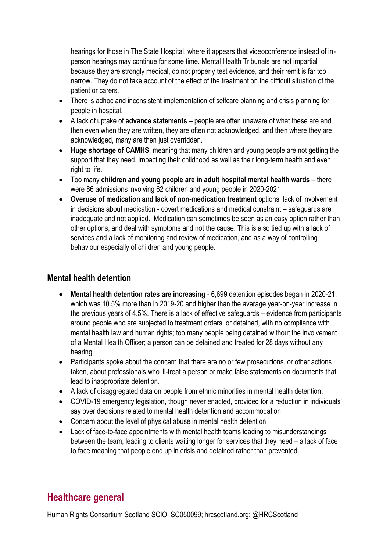hearings for those in The State Hospital, where it appears that videoconference instead of inperson hearings may continue for some time. Mental Health Tribunals are not impartial because they are strongly medical, do not properly test evidence, and their remit is far too narrow. They do not take account of the effect of the treatment on the difficult situation of the patient or carers.

- There is adhoc and inconsistent implementation of selfcare planning and crisis planning for people in hospital.
- A lack of uptake of **advance statements** people are often unaware of what these are and then even when they are written, they are often not acknowledged, and then where they are acknowledged, many are then just overridden.
- **Huge shortage of CAMHS**, meaning that many children and young people are not getting the support that they need, impacting their childhood as well as their long-term health and even right to life.
- Too many **children and young people are in adult hospital mental health wards** there were 86 admissions involving 62 children and young people in 2020-2021
- **Overuse of medication and lack of non-medication treatment** options, lack of involvement in decisions about medication - covert medications and medical constraint – safeguards are inadequate and not applied. Medication can sometimes be seen as an easy option rather than other options, and deal with symptoms and not the cause. This is also tied up with a lack of services and a lack of monitoring and review of medication, and as a way of controlling behaviour especially of children and young people.

## **Mental health detention**

- **Mental health detention rates are increasing** 6,699 detention episodes began in 2020-21, which was 10.5% more than in 2019-20 and higher than the average year-on-year increase in the previous years of 4.5%. There is a lack of effective safeguards – evidence from participants around people who are subjected to treatment orders, or detained, with no compliance with mental health law and human rights; too many people being detained without the involvement of a Mental Health Officer; a person can be detained and treated for 28 days without any hearing.
- Participants spoke about the concern that there are no or few prosecutions, or other actions taken, about professionals who ill-treat a person or make false statements on documents that lead to inappropriate detention.
- A lack of disaggregated data on people from ethnic minorities in mental health detention.
- COVID-19 emergency legislation, though never enacted, provided for a reduction in individuals' say over decisions related to mental health detention and accommodation
- Concern about the level of physical abuse in mental health detention
- Lack of face-to-face appointments with mental health teams leading to misunderstandings between the team, leading to clients waiting longer for services that they need – a lack of face to face meaning that people end up in crisis and detained rather than prevented.

## **Healthcare general**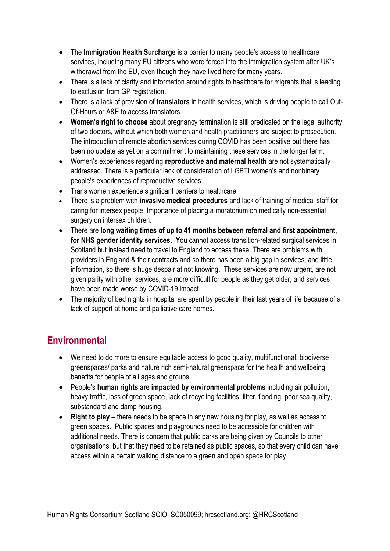- The **Immigration Health Surcharge** is a barrier to many people's access to healthcare services, including many EU citizens who were forced into the immigration system after UK's withdrawal from the EU, even though they have lived here for many years.
- There is a lack of clarity and information around rights to healthcare for migrants that is leading to exclusion from GP registration.
- There is a lack of provision of **translators** in health services, which is driving people to call Out-Of-Hours or A&E to access translators.
- **Women's right to choose** about pregnancy termination is still predicated on the legal authority of two doctors, without which both women and health practitioners are subject to prosecution. The introduction of remote abortion services during COVID has been positive but there has been no update as yet on a commitment to maintaining these services in the longer term.
- Women's experiences regarding **reproductive and maternal health** are not systematically addressed. There is a particular lack of consideration of LGBTI women's and nonbinary people's experiences of reproductive services.
- Trans women experience significant barriers to healthcare
- There is a problem with **invasive medical procedures** and lack of training of medical staff for caring for intersex people. Importance of placing a moratorium on medically non-essential surgery on intersex children.
- There are **long waiting times of up to 41 months between referral and first appointment, for NHS gender identity services. Y**ou cannot access transition-related surgical services in Scotland but instead need to travel to England to access these. There are problems with providers in England & their contracts and so there has been a big gap in services, and little information, so there is huge despair at not knowing. These services are now urgent, are not given parity with other services, are more difficult for people as they get older, and services have been made worse by COVID-19 impact.
- The majority of bed nights in hospital are spent by people in their last years of life because of a lack of support at home and palliative care homes.

# **Environmental**

- We need to do more to ensure equitable access to good quality, multifunctional, biodiverse greenspaces/ parks and nature rich semi-natural greenspace for the health and wellbeing benefits for people of all ages and groups.
- People's **human rights are impacted by environmental problems** including air pollution, heavy traffic, loss of green space, lack of recycling facilities, litter, flooding, poor sea quality, substandard and damp housing.
- **Right to play** there needs to be space in any new housing for play, as well as access to green spaces. Public spaces and playgrounds need to be accessible for children with additional needs. There is concern that public parks are being given by Councils to other organisations, but that they need to be retained as public spaces, so that every child can have access within a certain walking distance to a green and open space for play.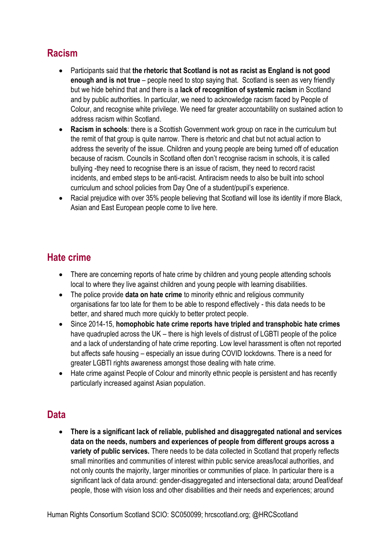# **Racism**

- Participants said that **the rhetoric that Scotland is not as racist as England is not good enough and is not true** – people need to stop saying that. Scotland is seen as very friendly but we hide behind that and there is a **lack of recognition of systemic racism** in Scotland and by public authorities. In particular, we need to acknowledge racism faced by People of Colour, and recognise white privilege. We need far greater accountability on sustained action to address racism within Scotland.
- **Racism in schools**: there is a Scottish Government work group on race in the curriculum but the remit of that group is quite narrow. There is rhetoric and chat but not actual action to address the severity of the issue. Children and young people are being turned off of education because of racism. Councils in Scotland often don't recognise racism in schools, it is called bullying -they need to recognise there is an issue of racism, they need to record racist incidents, and embed steps to be anti-racist. Antiracism needs to also be built into school curriculum and school policies from Day One of a student/pupil's experience.
- Racial prejudice with over 35% people believing that Scotland will lose its identity if more Black, Asian and East European people come to live here.

# **Hate crime**

- There are concerning reports of hate crime by children and young people attending schools local to where they live against children and young people with learning disabilities.
- The police provide **data on hate crime** to minority ethnic and religious community organisations far too late for them to be able to respond effectively - this data needs to be better, and shared much more quickly to better protect people.
- Since 2014-15, **homophobic hate crime reports have tripled and transphobic hate crimes** have quadrupled across the UK – there is high levels of distrust of LGBTI people of the police and a lack of understanding of hate crime reporting. Low level harassment is often not reported but affects safe housing – especially an issue during COVID lockdowns. There is a need for greater LGBTI rights awareness amongst those dealing with hate crime.
- Hate crime against People of Colour and minority ethnic people is persistent and has recently particularly increased against Asian population.

## **Data**

 **There is a significant lack of reliable, published and disaggregated national and services data on the needs, numbers and experiences of people from different groups across a variety of public services.** There needs to be data collected in Scotland that properly reflects small minorities and communities of interest within public service areas/local authorities, and not only counts the majority, larger minorities or communities of place. In particular there is a significant lack of data around: gender-disaggregated and intersectional data; around Deaf/deaf people, those with vision loss and other disabilities and their needs and experiences; around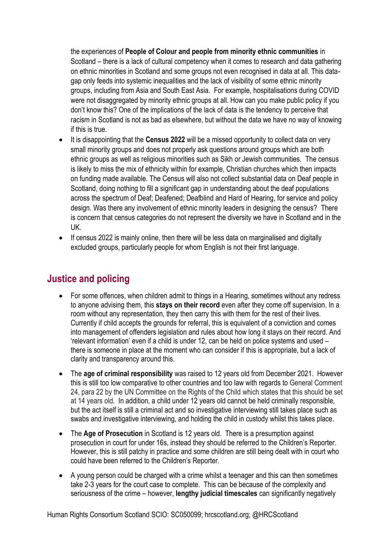the experiences of **People of Colour and people from minority ethnic communities** in Scotland – there is a lack of cultural competency when it comes to research and data gathering on ethnic minorities in Scotland and some groups not even recognised in data at all. This datagap only feeds into systemic inequalities and the lack of visibility of some ethnic minority groups, including from Asia and South East Asia. For example, hospitalisations during COVID were not disaggregated by minority ethnic groups at all. How can you make public policy if you don't know this? One of the implications of the lack of data is the tendency to perceive that racism in Scotland is not as bad as elsewhere, but without the data we have no way of knowing if this is true.

- It is disappointing that the **Census 2022** will be a missed opportunity to collect data on very small minority groups and does not properly ask questions around groups which are both ethnic groups as well as religious minorities such as Sikh or Jewish communities. The census is likely to miss the mix of ethnicity within for example, Christian churches which then impacts on funding made available. The Census will also not collect substantial data on Deaf people in Scotland, doing nothing to fill a significant gap in understanding about the deaf populations across the spectrum of Deaf; Deafened; Deafblind and Hard of Hearing, for service and policy design. Was there any involvement of ethnic minority leaders in designing the census? There is concern that census categories do not represent the diversity we have in Scotland and in the UK.
- If census 2022 is mainly online, then there will be less data on marginalised and digitally excluded groups, particularly people for whom English is not their first language.

## **Justice and policing**

- For some offences, when children admit to things in a Hearing, sometimes without any redress to anyone advising them, this **stays on their record** even after they come off supervision. In a room without any representation, they then carry this with them for the rest of their lives. Currently if child accepts the grounds for referral, this is equivalent of a conviction and comes into management of offenders legislation and rules about how long it stays on their record. And 'relevant information' even if a child is under 12, can be held on police systems and used – there is someone in place at the moment who can consider if this is appropriate, but a lack of clarity and transparency around this.
- The **age of criminal responsibility** was raised to 12 years old from December 2021. However this is still too low comparative to other countries and too law with regards to General Comment 24, para 22 by the UN Committee on the Rights of the Child which states that this should be set at 14 years old. In addition, a child under 12 years old cannot be held criminally responsible, but the act itself is still a criminal act and so investigative interviewing still takes place such as swabs and investigative interviewing, and holding the child in custody whilst this takes place.
- The **Age of Prosecution** in Scotland is 12 years old. There is a presumption against prosecution in court for under 16s, instead they should be referred to the Children's Reporter. However, this is still patchy in practice and some children are still being dealt with in court who could have been referred to the Children's Reporter.
- A young person could be charged with a crime whilst a teenager and this can then sometimes take 2-3 years for the court case to complete. This can be because of the complexity and seriousness of the crime – however, **lengthy judicial timescales** can significantly negatively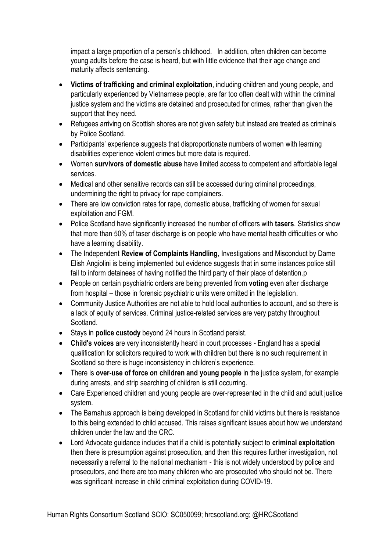impact a large proportion of a person's childhood. In addition, often children can become young adults before the case is heard, but with little evidence that their age change and maturity affects sentencing.

- **Victims of trafficking and criminal exploitation**, including children and young people, and particularly experienced by Vietnamese people, are far too often dealt with within the criminal justice system and the victims are detained and prosecuted for crimes, rather than given the support that they need.
- Refugees arriving on Scottish shores are not given safety but instead are treated as criminals by Police Scotland.
- Participants' experience suggests that disproportionate numbers of women with learning disabilities experience violent crimes but more data is required.
- Women **survivors of domestic abuse** have limited access to competent and affordable legal services.
- Medical and other sensitive records can still be accessed during criminal proceedings, undermining the right to privacy for rape complainers.
- There are low conviction rates for rape, domestic abuse, trafficking of women for sexual exploitation and FGM.
- Police Scotland have significantly increased the number of officers with **tasers**. Statistics show that more than 50% of taser discharge is on people who have mental health difficulties or who have a learning disability.
- The Independent **Review of Complaints Handling**, Investigations and Misconduct by Dame Elish Angiolini is being implemented but evidence suggests that in some instances police still fail to inform detainees of having notified the third party of their place of detention.p
- People on certain psychiatric orders are being prevented from **voting** even after discharge from hospital – those in forensic psychiatric units were omitted in the legislation.
- Community Justice Authorities are not able to hold local authorities to account, and so there is a lack of equity of services. Criminal justice-related services are very patchy throughout Scotland.
- Stays in **police custody** beyond 24 hours in Scotland persist.
- **Child's voices** are very inconsistently heard in court processes England has a special qualification for solicitors required to work with children but there is no such requirement in Scotland so there is huge inconsistency in children's experience.
- There is **over-use of force on children and young people** in the justice system, for example during arrests, and strip searching of children is still occurring.
- Care Experienced children and voung people are over-represented in the child and adult justice system.
- The Barnahus approach is being developed in Scotland for child victims but there is resistance to this being extended to child accused. This raises significant issues about how we understand children under the law and the CRC.
- Lord Advocate guidance includes that if a child is potentially subject to **criminal exploitation** then there is presumption against prosecution, and then this requires further investigation, not necessarily a referral to the national mechanism - this is not widely understood by police and prosecutors, and there are too many children who are prosecuted who should not be. There was significant increase in child criminal exploitation during COVID-19.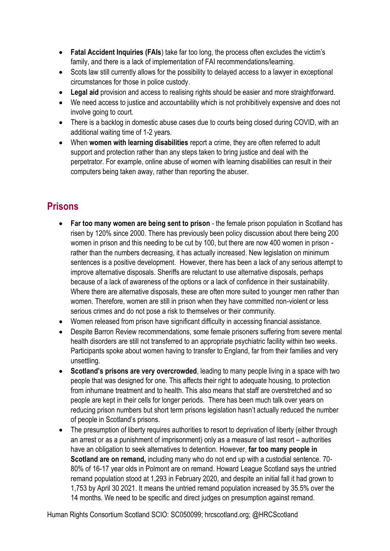- **Fatal Accident Inquiries (FAIs**) take far too long, the process often excludes the victim's family, and there is a lack of implementation of FAI recommendations/learning.
- Scots law still currently allows for the possibility to delayed access to a lawyer in exceptional circumstances for those in police custody.
- **Legal aid** provision and access to realising rights should be easier and more straightforward.
- We need access to justice and accountability which is not prohibitively expensive and does not involve going to court.
- There is a backlog in domestic abuse cases due to courts being closed during COVID, with an additional waiting time of 1-2 years.
- When **women with learning disabilities** report a crime, they are often referred to adult support and protection rather than any steps taken to bring justice and deal with the perpetrator. For example, online abuse of women with learning disabilities can result in their computers being taken away, rather than reporting the abuser.

# **Prisons**

- **Far too many women are being sent to prison** the female prison population in Scotland has risen by 120% since 2000. There has previously been policy discussion about there being 200 women in prison and this needing to be cut by 100, but there are now 400 women in prison rather than the numbers decreasing, it has actually increased. New legislation on minimum sentences is a positive development. However, there has been a lack of any serious attempt to improve alternative disposals. Sheriffs are reluctant to use alternative disposals, perhaps because of a lack of awareness of the options or a lack of confidence in their sustainability. Where there are alternative disposals, these are often more suited to younger men rather than women. Therefore, women are still in prison when they have committed non-violent or less serious crimes and do not pose a risk to themselves or their community.
- Women released from prison have significant difficulty in accessing financial assistance.
- Despite Barron Review recommendations, some female prisoners suffering from severe mental health disorders are still not transferred to an appropriate psychiatric facility within two weeks. Participants spoke about women having to transfer to England, far from their families and very unsettling.
- **Scotland's prisons are very overcrowded**, leading to many people living in a space with two people that was designed for one. This affects their right to adequate housing, to protection from inhumane treatment and to health. This also means that staff are overstretched and so people are kept in their cells for longer periods. There has been much talk over years on reducing prison numbers but short term prisons legislation hasn't actually reduced the number of people in Scotland's prisons.
- The presumption of liberty requires authorities to resort to deprivation of liberty (either through an arrest or as a punishment of imprisonment) only as a measure of last resort – authorities have an obligation to seek alternatives to detention. However, **far too many people in Scotland are on remand,** including many who do not end up with a custodial sentence. 70- 80% of 16-17 year olds in Polmont are on remand. Howard League Scotland says the untried remand population stood at 1,293 in February 2020, and despite an initial fall it had grown to 1,753 by April 30 2021. It means the untried remand population increased by 35.5% over the 14 months. We need to be specific and direct judges on presumption against remand.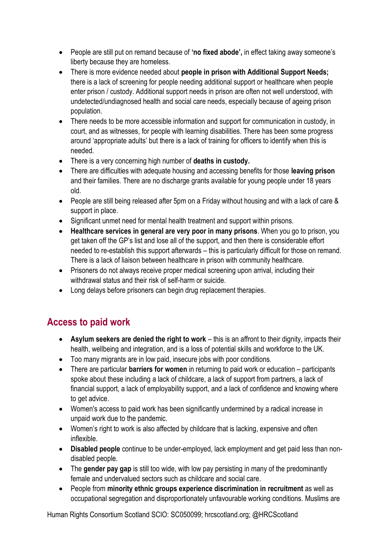- People are still put on remand because of **'no fixed abode',** in effect taking away someone's liberty because they are homeless.
- There is more evidence needed about **people in prison with Additional Support Needs;** there is a lack of screening for people needing additional support or healthcare when people enter prison / custody. Additional support needs in prison are often not well understood, with undetected/undiagnosed health and social care needs, especially because of ageing prison population.
- There needs to be more accessible information and support for communication in custody, in court, and as witnesses, for people with learning disabilities. There has been some progress around 'appropriate adults' but there is a lack of training for officers to identify when this is needed.
- There is a very concerning high number of **deaths in custody.**
- There are difficulties with adequate housing and accessing benefits for those **leaving prison** and their families. There are no discharge grants available for young people under 18 years old.
- People are still being released after 5pm on a Friday without housing and with a lack of care & support in place.
- Significant unmet need for mental health treatment and support within prisons.
- **Healthcare services in general are very poor in many prisons**. When you go to prison, you get taken off the GP's list and lose all of the support, and then there is considerable effort needed to re-establish this support afterwards – this is particularly difficult for those on remand. There is a lack of liaison between healthcare in prison with community healthcare.
- Prisoners do not always receive proper medical screening upon arrival, including their withdrawal status and their risk of self-harm or suicide.
- Long delays before prisoners can begin drug replacement therapies.

# **Access to paid work**

- **Asylum seekers are denied the right to work** this is an affront to their dignity, impacts their health, wellbeing and integration, and is a loss of potential skills and workforce to the UK.
- Too many migrants are in low paid, insecure jobs with poor conditions.
- There are particular **barriers for women** in returning to paid work or education participants spoke about these including a lack of childcare, a lack of support from partners, a lack of financial support, a lack of employability support, and a lack of confidence and knowing where to get advice.
- Women's access to paid work has been significantly undermined by a radical increase in unpaid work due to the pandemic.
- Women's right to work is also affected by childcare that is lacking, expensive and often inflexible.
- **Disabled people** continue to be under-employed, lack employment and get paid less than nondisabled people.
- The **gender pay gap** is still too wide, with low pay persisting in many of the predominantly female and undervalued sectors such as childcare and social care.
- People from **minority ethnic groups experience discrimination in recruitment** as well as occupational segregation and disproportionately unfavourable working conditions. Muslims are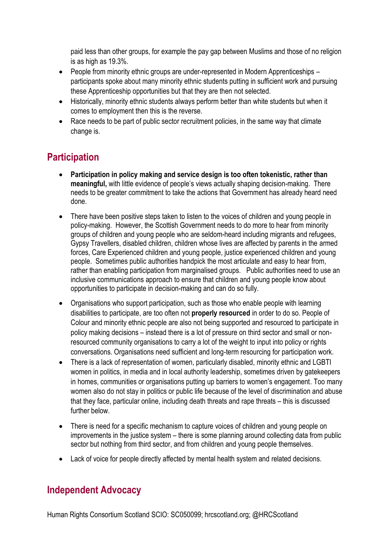paid less than other groups, for example the pay gap between Muslims and those of no religion is as high as 19.3%.

- People from minority ethnic groups are under-represented in Modern Apprenticeships participants spoke about many minority ethnic students putting in sufficient work and pursuing these Apprenticeship opportunities but that they are then not selected.
- Historically, minority ethnic students always perform better than white students but when it comes to employment then this is the reverse.
- Race needs to be part of public sector recruitment policies, in the same way that climate change is.

# **Participation**

- **Participation in policy making and service design is too often tokenistic, rather than meaningful,** with little evidence of people's views actually shaping decision-making. There needs to be greater commitment to take the actions that Government has already heard need done.
- There have been positive steps taken to listen to the voices of children and young people in policy-making. However, the Scottish Government needs to do more to hear from minority groups of children and young people who are seldom-heard including migrants and refugees, Gypsy Travellers, disabled children, children whose lives are affected by parents in the armed forces, Care Experienced children and young people, justice experienced children and young people. Sometimes public authorities handpick the most articulate and easy to hear from, rather than enabling participation from marginalised groups. Public authorities need to use an inclusive communications approach to ensure that children and young people know about opportunities to participate in decision-making and can do so fully.
- Organisations who support participation, such as those who enable people with learning disabilities to participate, are too often not **properly resourced** in order to do so. People of Colour and minority ethnic people are also not being supported and resourced to participate in policy making decisions – instead there is a lot of pressure on third sector and small or nonresourced community organisations to carry a lot of the weight to input into policy or rights conversations. Organisations need sufficient and long-term resourcing for participation work.
- There is a lack of representation of women, particularly disabled, minority ethnic and LGBTI women in politics, in media and in local authority leadership, sometimes driven by gatekeepers in homes, communities or organisations putting up barriers to women's engagement. Too many women also do not stay in politics or public life because of the level of discrimination and abuse that they face, particular online, including death threats and rape threats – this is discussed further below.
- There is need for a specific mechanism to capture voices of children and young people on improvements in the justice system – there is some planning around collecting data from public sector but nothing from third sector, and from children and young people themselves.
- Lack of voice for people directly affected by mental health system and related decisions.

## **Independent Advocacy**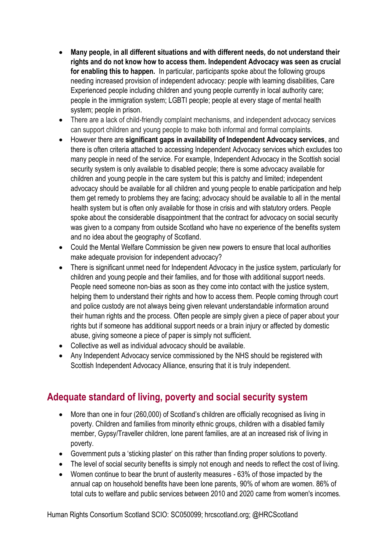- **Many people, in all different situations and with different needs, do not understand their rights and do not know how to access them. Independent Advocacy was seen as crucial for enabling this to happen.** In particular, participants spoke about the following groups needing increased provision of independent advocacy: people with learning disabilities, Care Experienced people including children and young people currently in local authority care; people in the immigration system; LGBTI people; people at every stage of mental health system; people in prison.
- There are a lack of child-friendly complaint mechanisms, and independent advocacy services can support children and young people to make both informal and formal complaints.
- However there are **significant gaps in availability of Independent Advocacy services**, and there is often criteria attached to accessing Independent Advocacy services which excludes too many people in need of the service. For example, Independent Advocacy in the Scottish social security system is only available to disabled people; there is some advocacy available for children and young people in the care system but this is patchy and limited; independent advocacy should be available for all children and young people to enable participation and help them get remedy to problems they are facing; advocacy should be available to all in the mental health system but is often only available for those in crisis and with statutory orders. People spoke about the considerable disappointment that the contract for advocacy on social security was given to a company from outside Scotland who have no experience of the benefits system and no idea about the geography of Scotland.
- Could the Mental Welfare Commission be given new powers to ensure that local authorities make adequate provision for independent advocacy?
- There is significant unmet need for Independent Advocacy in the justice system, particularly for children and young people and their families, and for those with additional support needs. People need someone non-bias as soon as they come into contact with the justice system, helping them to understand their rights and how to access them. People coming through court and police custody are not always being given relevant understandable information around their human rights and the process. Often people are simply given a piece of paper about your rights but if someone has additional support needs or a brain injury or affected by domestic abuse, giving someone a piece of paper is simply not sufficient.
- Collective as well as individual advocacy should be available.
- Any Independent Advocacy service commissioned by the NHS should be registered with Scottish Independent Advocacy Alliance, ensuring that it is truly independent.

## **Adequate standard of living, poverty and social security system**

- More than one in four (260,000) of Scotland's children are officially recognised as living in poverty. Children and families from minority ethnic groups, children with a disabled family member, Gypsy/Traveller children, lone parent families, are at an increased risk of living in poverty.
- Government puts a 'sticking plaster' on this rather than finding proper solutions to poverty.
- The level of social security benefits is simply not enough and needs to reflect the cost of living.
- Women continue to bear the brunt of austerity measures 63% of those impacted by the annual cap on household benefits have been lone parents, 90% of whom are women. 86% of total cuts to welfare and public services between 2010 and 2020 came from women's incomes.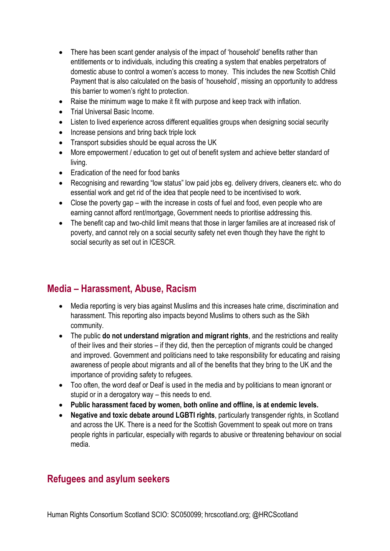- There has been scant gender analysis of the impact of 'household' benefits rather than entitlements or to individuals, including this creating a system that enables perpetrators of domestic abuse to control a women's access to money. This includes the new Scottish Child Payment that is also calculated on the basis of 'household', missing an opportunity to address this barrier to women's right to protection.
- Raise the minimum wage to make it fit with purpose and keep track with inflation.
- Trial Universal Basic Income.
- Listen to lived experience across different equalities groups when designing social security
- Increase pensions and bring back triple lock
- Transport subsidies should be equal across the UK
- More empowerment / education to get out of benefit system and achieve better standard of living.
- Eradication of the need for food banks
- Recognising and rewarding "low status" low paid jobs eg. delivery drivers, cleaners etc. who do essential work and get rid of the idea that people need to be incentivised to work.
- Close the poverty gap with the increase in costs of fuel and food, even people who are earning cannot afford rent/mortgage, Government needs to prioritise addressing this.
- The benefit cap and two-child limit means that those in larger families are at increased risk of poverty, and cannot rely on a social security safety net even though they have the right to social security as set out in ICESCR.

## **Media – Harassment, Abuse, Racism**

- Media reporting is very bias against Muslims and this increases hate crime, discrimination and harassment. This reporting also impacts beyond Muslims to others such as the Sikh community.
- The public **do not understand migration and migrant rights**, and the restrictions and reality of their lives and their stories – if they did, then the perception of migrants could be changed and improved. Government and politicians need to take responsibility for educating and raising awareness of people about migrants and all of the benefits that they bring to the UK and the importance of providing safety to refugees.
- Too often, the word deaf or Deaf is used in the media and by politicians to mean ignorant or stupid or in a derogatory way – this needs to end.
- **Public harassment faced by women, both online and offline, is at endemic levels.**
- **Negative and toxic debate around LGBTI rights**, particularly transgender rights, in Scotland and across the UK. There is a need for the Scottish Government to speak out more on trans people rights in particular, especially with regards to abusive or threatening behaviour on social media.

## **Refugees and asylum seekers**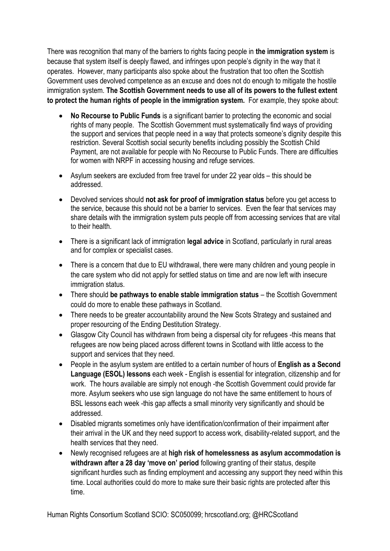There was recognition that many of the barriers to rights facing people in **the immigration system** is because that system itself is deeply flawed, and infringes upon people's dignity in the way that it operates. However, many participants also spoke about the frustration that too often the Scottish Government uses devolved competence as an excuse and does not do enough to mitigate the hostile immigration system. **The Scottish Government needs to use all of its powers to the fullest extent to protect the human rights of people in the immigration system.** For example, they spoke about:

- **No Recourse to Public Funds** is a significant barrier to protecting the economic and social rights of many people. The Scottish Government must systematically find ways of providing the support and services that people need in a way that protects someone's dignity despite this restriction. Several Scottish social security benefits including possibly the Scottish Child Payment, are not available for people with No Recourse to Public Funds. There are difficulties for women with NRPF in accessing housing and refuge services.
- Asylum seekers are excluded from free travel for under 22 year olds this should be addressed.
- Devolved services should **not ask for proof of immigration status** before you get access to the service, because this should not be a barrier to services. Even the fear that services may share details with the immigration system puts people off from accessing services that are vital to their health.
- There is a significant lack of immigration **legal advice** in Scotland, particularly in rural areas and for complex or specialist cases.
- There is a concern that due to EU withdrawal, there were many children and young people in the care system who did not apply for settled status on time and are now left with insecure immigration status.
- There should **be pathways to enable stable immigration status** the Scottish Government could do more to enable these pathways in Scotland.
- There needs to be greater accountability around the New Scots Strategy and sustained and proper resourcing of the Ending Destitution Strategy.
- Glasgow City Council has withdrawn from being a dispersal city for refugees -this means that refugees are now being placed across different towns in Scotland with little access to the support and services that they need.
- People in the asylum system are entitled to a certain number of hours of **English as a Second Language (ESOL) lessons** each week - English is essential for integration, citizenship and for work. The hours available are simply not enough -the Scottish Government could provide far more. Asylum seekers who use sign language do not have the same entitlement to hours of BSL lessons each week -this gap affects a small minority very significantly and should be addressed.
- Disabled migrants sometimes only have identification/confirmation of their impairment after their arrival in the UK and they need support to access work, disability-related support, and the health services that they need.
- Newly recognised refugees are at **high risk of homelessness as asylum accommodation is withdrawn after a 28 day 'move on' period** following granting of their status, despite significant hurdles such as finding employment and accessing any support they need within this time. Local authorities could do more to make sure their basic rights are protected after this time.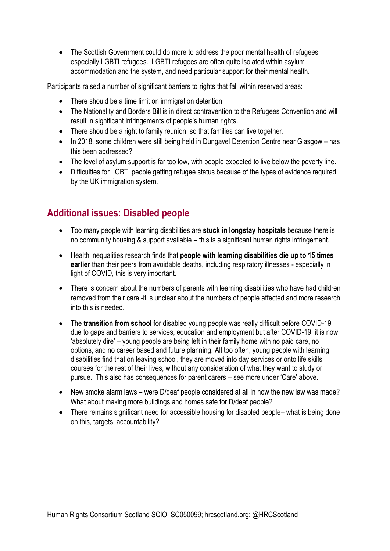The Scottish Government could do more to address the poor mental health of refugees especially LGBTI refugees. LGBTI refugees are often quite isolated within asylum accommodation and the system, and need particular support for their mental health.

Participants raised a number of significant barriers to rights that fall within reserved areas:

- There should be a time limit on immigration detention
- The Nationality and Borders Bill is in direct contravention to the Refugees Convention and will result in significant infringements of people's human rights.
- There should be a right to family reunion, so that families can live together.
- In 2018, some children were still being held in Dungavel Detention Centre near Glasgow has this been addressed?
- The level of asylum support is far too low, with people expected to live below the poverty line.
- Difficulties for LGBTI people getting refugee status because of the types of evidence required by the UK immigration system.

# **Additional issues: Disabled people**

- Too many people with learning disabilities are **stuck in longstay hospitals** because there is no community housing & support available – this is a significant human rights infringement.
- Health inequalities research finds that **people with learning disabilities die up to 15 times earlier** than their peers from avoidable deaths, including respiratory illnesses - especially in light of COVID, this is very important.
- There is concern about the numbers of parents with learning disabilities who have had children removed from their care -it is unclear about the numbers of people affected and more research into this is needed.
- The **transition from school** for disabled young people was really difficult before COVID-19 due to gaps and barriers to services, education and employment but after COVID-19, it is now 'absolutely dire' – young people are being left in their family home with no paid care, no options, and no career based and future planning. All too often, young people with learning disabilities find that on leaving school, they are moved into day services or onto life skills courses for the rest of their lives, without any consideration of what they want to study or pursue. This also has consequences for parent carers – see more under 'Care' above.
- New smoke alarm laws were D/deaf people considered at all in how the new law was made? What about making more buildings and homes safe for D/deaf people?
- There remains significant need for accessible housing for disabled people– what is being done on this, targets, accountability?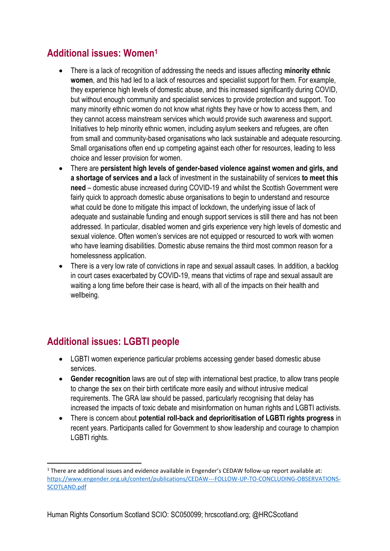# **Additional issues: Women<sup>1</sup>**

- There is a lack of recognition of addressing the needs and issues affecting **minority ethnic women**, and this had led to a lack of resources and specialist support for them. For example, they experience high levels of domestic abuse, and this increased significantly during COVID, but without enough community and specialist services to provide protection and support. Too many minority ethnic women do not know what rights they have or how to access them, and they cannot access mainstream services which would provide such awareness and support. Initiatives to help minority ethnic women, including asylum seekers and refugees, are often from small and community-based organisations who lack sustainable and adequate resourcing. Small organisations often end up competing against each other for resources, leading to less choice and lesser provision for women.
- There are **persistent high levels of gender-based violence against women and girls, and a shortage of services and a l**ack of investment in the sustainability of services **to meet this need** – domestic abuse increased during COVID-19 and whilst the Scottish Government were fairly quick to approach domestic abuse organisations to begin to understand and resource what could be done to mitigate this impact of lockdown, the underlying issue of lack of adequate and sustainable funding and enough support services is still there and has not been addressed. In particular, disabled women and girls experience very high levels of domestic and sexual violence. Often women's services are not equipped or resourced to work with women who have learning disabilities. Domestic abuse remains the third most common reason for a homelessness application.
- There is a very low rate of convictions in rape and sexual assault cases. In addition, a backlog in court cases exacerbated by COVID-19, means that victims of rape and sexual assault are waiting a long time before their case is heard, with all of the impacts on their health and wellbeing.

# **Additional issues: LGBTI people**

**.** 

- LGBTI women experience particular problems accessing gender based domestic abuse services.
- **Gender recognition** laws are out of step with international best practice, to allow trans people to change the sex on their birth certificate more easily and without intrusive medical requirements. The GRA law should be passed, particularly recognising that delay has increased the impacts of toxic debate and misinformation on human rights and LGBTI activists.
- There is concern about **potential roll-back and deprioritisation of LGBTI rights progress** in recent years. Participants called for Government to show leadership and courage to champion LGBTI rights.

<sup>1</sup> There are additional issues and evidence available in Engender's CEDAW follow-up report available at: [https://www.engender.org.uk/content/publications/CEDAW---FOLLOW-UP-TO-CONCLUDING-OBSERVATIONS-](https://www.engender.org.uk/content/publications/CEDAW---FOLLOW-UP-TO-CONCLUDING-OBSERVATIONS-SCOTLAND.pdf)[SCOTLAND.pdf](https://www.engender.org.uk/content/publications/CEDAW---FOLLOW-UP-TO-CONCLUDING-OBSERVATIONS-SCOTLAND.pdf)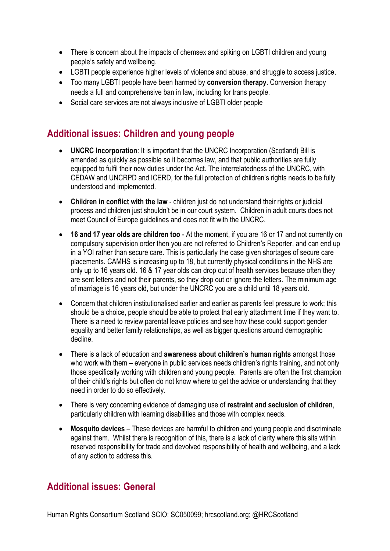- There is concern about the impacts of chemsex and spiking on LGBTI children and young people's safety and wellbeing.
- LGBTI people experience higher levels of violence and abuse, and struggle to access justice.
- Too many LGBTI people have been harmed by **conversion therapy**. Conversion therapy needs a full and comprehensive ban in law, including for trans people.
- Social care services are not always inclusive of LGBTI older people

## **Additional issues: Children and young people**

- **UNCRC Incorporation**: It is important that the UNCRC Incorporation (Scotland) Bill is amended as quickly as possible so it becomes law, and that public authorities are fully equipped to fulfil their new duties under the Act. The interrelatedness of the UNCRC, with CEDAW and UNCRPD and ICERD, for the full protection of children's rights needs to be fully understood and implemented.
- **Children in conflict with the law** children just do not understand their rights or judicial process and children just shouldn't be in our court system. Children in adult courts does not meet Council of Europe guidelines and does not fit with the UNCRC.
- **16 and 17 year olds are children too** At the moment, if you are 16 or 17 and not currently on compulsory supervision order then you are not referred to Children's Reporter, and can end up in a YOI rather than secure care. This is particularly the case given shortages of secure care placements. CAMHS is increasing up to 18, but currently physical conditions in the NHS are only up to 16 years old. 16 & 17 year olds can drop out of health services because often they are sent letters and not their parents, so they drop out or ignore the letters. The minimum age of marriage is 16 years old, but under the UNCRC you are a child until 18 years old.
- Concern that children institutionalised earlier and earlier as parents feel pressure to work; this should be a choice, people should be able to protect that early attachment time if they want to. There is a need to review parental leave policies and see how these could support gender equality and better family relationships, as well as bigger questions around demographic decline.
- There is a lack of education and **awareness about children's human rights** amongst those who work with them – everyone in public services needs children's rights training, and not only those specifically working with children and young people. Parents are often the first champion of their child's rights but often do not know where to get the advice or understanding that they need in order to do so effectively.
- There is very concerning evidence of damaging use of **restraint and seclusion of children**, particularly children with learning disabilities and those with complex needs.
- **Mosquito devices** These devices are harmful to children and young people and discriminate against them. Whilst there is recognition of this, there is a lack of clarity where this sits within reserved responsibility for trade and devolved responsibility of health and wellbeing, and a lack of any action to address this.

## **Additional issues: General**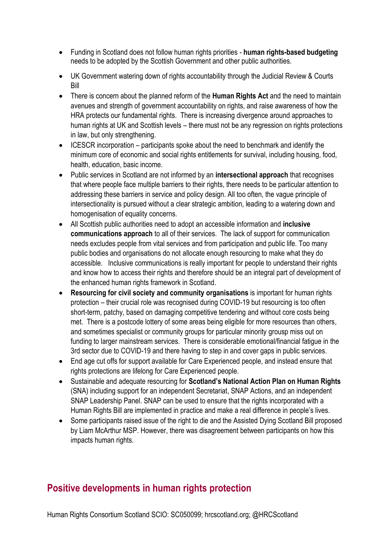- Funding in Scotland does not follow human rights priorities **human rights-based budgeting** needs to be adopted by the Scottish Government and other public authorities.
- UK Government watering down of rights accountability through the Judicial Review & Courts Bill
- There is concern about the planned reform of the **Human Rights Act** and the need to maintain avenues and strength of government accountability on rights, and raise awareness of how the HRA protects our fundamental rights. There is increasing divergence around approaches to human rights at UK and Scottish levels – there must not be any regression on rights protections in law, but only strengthening.
- ICESCR incorporation participants spoke about the need to benchmark and identify the minimum core of economic and social rights entitlements for survival, including housing, food, health, education, basic income.
- Public services in Scotland are not informed by an **intersectional approach** that recognises that where people face multiple barriers to their rights, there needs to be particular attention to addressing these barriers in service and policy design. All too often, the vague principle of intersectionality is pursued without a clear strategic ambition, leading to a watering down and homogenisation of equality concerns.
- All Scottish public authorities need to adopt an accessible information and **inclusive communications approach** to all of their services. The lack of support for communication needs excludes people from vital services and from participation and public life. Too many public bodies and organisations do not allocate enough resourcing to make what they do accessible. Inclusive communications is really important for people to understand their rights and know how to access their rights and therefore should be an integral part of development of the enhanced human rights framework in Scotland.
- **Resourcing for civil society and community organisations** is important for human rights protection – their crucial role was recognised during COVID-19 but resourcing is too often short-term, patchy, based on damaging competitive tendering and without core costs being met. There is a postcode lottery of some areas being eligible for more resources than others, and sometimes specialist or community groups for particular minority grousp miss out on funding to larger mainstream services. There is considerable emotional/financial fatigue in the 3rd sector due to COVID-19 and there having to step in and cover gaps in public services.
- End age cut offs for support available for Care Experienced people, and instead ensure that rights protections are lifelong for Care Experienced people.
- Sustainable and adequate resourcing for **Scotland's National Action Plan on Human Rights** (SNA) including support for an independent Secretariat, SNAP Actions, and an independent SNAP Leadership Panel. SNAP can be used to ensure that the rights incorporated with a Human Rights Bill are implemented in practice and make a real difference in people's lives.
- Some participants raised issue of the right to die and the Assisted Dying Scotland Bill proposed by Liam McArthur MSP. However, there was disagreement between participants on how this impacts human rights.

## **Positive developments in human rights protection**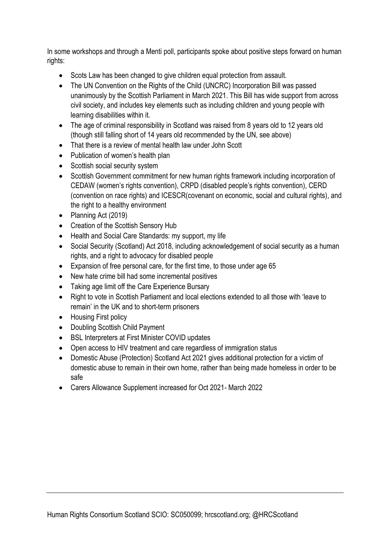In some workshops and through a Menti poll, participants spoke about positive steps forward on human rights:

- Scots Law has been changed to give children equal protection from assault.
- The UN Convention on the Rights of the Child (UNCRC) Incorporation Bill was passed unanimously by the Scottish Parliament in March 2021. This Bill has wide support from across civil society, and includes key elements such as including children and young people with learning disabilities within it.
- The age of criminal responsibility in Scotland was raised from 8 years old to 12 years old (though still falling short of 14 years old recommended by the UN, see above)
- That there is a review of mental health law under John Scott
- Publication of women's health plan
- Scottish social security system
- Scottish Government commitment for new human rights framework including incorporation of CEDAW (women's rights convention), CRPD (disabled people's rights convention), CERD (convention on race rights) and ICESCR(covenant on economic, social and cultural rights), and the right to a healthy environment
- Planning Act (2019)
- Creation of the Scottish Sensory Hub
- Health and Social Care Standards: my support, my life
- Social Security (Scotland) Act 2018, including acknowledgement of social security as a human rights, and a right to advocacy for disabled people
- Expansion of free personal care, for the first time, to those under age 65
- New hate crime bill had some incremental positives
- Taking age limit off the Care Experience Bursary
- Right to vote in Scottish Parliament and local elections extended to all those with 'leave to remain' in the UK and to short-term prisoners
- Housing First policy
- Doubling Scottish Child Payment
- BSL Interpreters at First Minister COVID updates
- Open access to HIV treatment and care regardless of immigration status
- Domestic Abuse (Protection) Scotland Act 2021 gives additional protection for a victim of domestic abuse to remain in their own home, rather than being made homeless in order to be safe
- Carers Allowance Supplement increased for Oct 2021- March 2022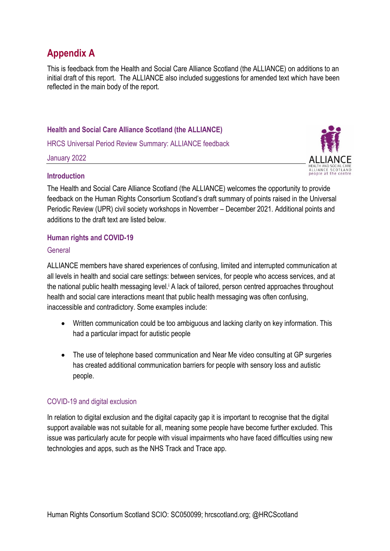# **Appendix A**

This is feedback from the Health and Social Care Alliance Scotland (the ALLIANCE) on additions to an initial draft of this report. The ALLIANCE also included suggestions for amended text which have been reflected in the main body of the report.

### **Health and Social Care Alliance Scotland (the ALLIANCE)**

HRCS Universal Period Review Summary: ALLIANCE feedback

January 2022



### **Introduction**

The Health and Social Care Alliance Scotland (the ALLIANCE) welcomes the opportunity to provide feedback on the Human Rights Consortium Scotland's draft summary of points raised in the Universal Periodic Review (UPR) civil society workshops in November – December 2021. Additional points and additions to the draft text are listed below.

### **Human rights and COVID-19**

### General

ALLIANCE members have shared experiences of confusing, limited and interrupted communication at all levels in health and social care settings: between services, for people who access services, and at the national public health messaging level.<sup>*i*</sup> A lack of tailored, person centred approaches throughout health and social care interactions meant that public health messaging was often confusing, inaccessible and contradictory. Some examples include:

- Written communication could be too ambiguous and lacking clarity on key information. This had a particular impact for autistic people
- The use of telephone based communication and Near Me video consulting at GP surgeries has created additional communication barriers for people with sensory loss and autistic people.

### COVID-19 and digital exclusion

In relation to digital exclusion and the digital capacity gap it is important to recognise that the digital support available was not suitable for all, meaning some people have become further excluded. This issue was particularly acute for people with visual impairments who have faced difficulties using new technologies and apps, such as the NHS Track and Trace app.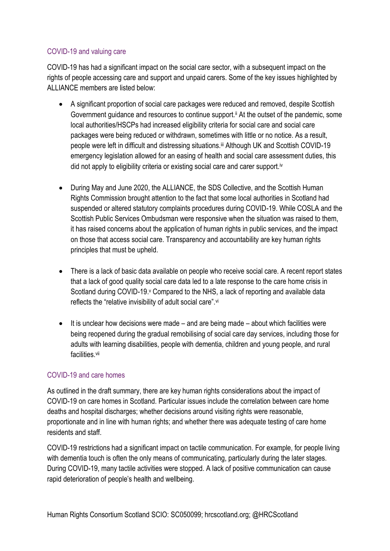### COVID-19 and valuing care

COVID-19 has had a significant impact on the social care sector, with a subsequent impact on the rights of people accessing care and support and unpaid carers. Some of the key issues highlighted by ALLIANCE members are listed below:

- A significant proportion of social care packages were reduced and removed, despite Scottish Government quidance and resources to continue support.<sup>ii</sup> At the outset of the pandemic, some local authorities/HSCPs had increased eligibility criteria for social care and social care packages were being reduced or withdrawn, sometimes with little or no notice. As a result, people were left in difficult and distressing situations.iii Although UK and Scottish COVID-19 emergency legislation allowed for an easing of health and social care assessment duties, this did not apply to eligibility criteria or existing social care and carer support.<sup>iv</sup>
- During May and June 2020, the ALLIANCE, the SDS Collective, and the Scottish Human Rights Commission brought attention to the fact that some local authorities in Scotland had suspended or altered statutory complaints procedures during COVID-19. While COSLA and the Scottish Public Services Ombudsman were responsive when the situation was raised to them, it has raised concerns about the application of human rights in public services, and the impact on those that access social care. Transparency and accountability are key human rights principles that must be upheld.
- There is a lack of basic data available on people who receive social care. A recent report states that a lack of good quality social care data led to a late response to the care home crisis in Scotland during COVID-19. Compared to the NHS, a lack of reporting and available data reflects the "relative invisibility of adult social care".vi
- $\bullet$  It is unclear how decisions were made and are being made about which facilities were being reopened during the gradual remobilising of social care day services, including those for adults with learning disabilities, people with dementia, children and young people, and rural facilities.vii

### COVID-19 and care homes

As outlined in the draft summary, there are key human rights considerations about the impact of COVID-19 on care homes in Scotland. Particular issues include the correlation between care home deaths and hospital discharges; whether decisions around visiting rights were reasonable. proportionate and in line with human rights; and whether there was adequate testing of care home residents and staff.

COVID-19 restrictions had a significant impact on tactile communication. For example, for people living with dementia touch is often the only means of communicating, particularly during the later stages. During COVID-19, many tactile activities were stopped. A lack of positive communication can cause rapid deterioration of people's health and wellbeing.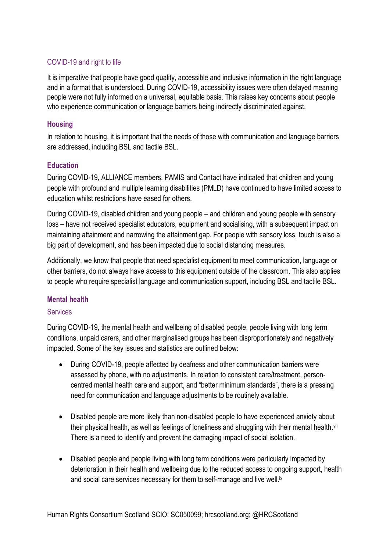### COVID-19 and right to life

It is imperative that people have good quality, accessible and inclusive information in the right language and in a format that is understood. During COVID-19, accessibility issues were often delayed meaning people were not fully informed on a universal, equitable basis. This raises key concerns about people who experience communication or language barriers being indirectly discriminated against.

### **Housing**

In relation to housing, it is important that the needs of those with communication and language barriers are addressed, including BSL and tactile BSL.

### **Education**

During COVID-19, ALLIANCE members, PAMIS and Contact have indicated that children and young people with profound and multiple learning disabilities (PMLD) have continued to have limited access to education whilst restrictions have eased for others.

During COVID-19, disabled children and young people – and children and young people with sensory loss – have not received specialist educators, equipment and socialising, with a subsequent impact on maintaining attainment and narrowing the attainment gap. For people with sensory loss, touch is also a big part of development, and has been impacted due to social distancing measures.

Additionally, we know that people that need specialist equipment to meet communication, language or other barriers, do not always have access to this equipment outside of the classroom. This also applies to people who require specialist language and communication support, including BSL and tactile BSL.

### **Mental health**

### **Services**

During COVID-19, the mental health and wellbeing of disabled people, people living with long term conditions, unpaid carers, and other marginalised groups has been disproportionately and negatively impacted. Some of the key issues and statistics are outlined below:

- During COVID-19, people affected by deafness and other communication barriers were assessed by phone, with no adjustments. In relation to consistent care/treatment, personcentred mental health care and support, and "better minimum standards", there is a pressing need for communication and language adjustments to be routinely available.
- Disabled people are more likely than non-disabled people to have experienced anxiety about their physical health, as well as feelings of loneliness and struggling with their mental health.<sup>viii</sup> There is a need to identify and prevent the damaging impact of social isolation.
- Disabled people and people living with long term conditions were particularly impacted by deterioration in their health and wellbeing due to the reduced access to ongoing support, health and social care services necessary for them to self-manage and live well.<sup>ix</sup>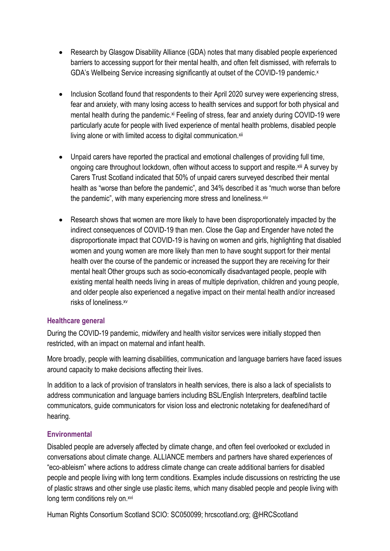- Research by Glasgow Disability Alliance (GDA) notes that many disabled people experienced barriers to accessing support for their mental health, and often felt dismissed, with referrals to GDA's Wellbeing Service increasing significantly at outset of the COVID-19 pandemic.<sup>x</sup>
- Inclusion Scotland found that respondents to their April 2020 survey were experiencing stress, fear and anxiety, with many losing access to health services and support for both physical and mental health during the pandemic.<sup>xi</sup> Feeling of stress, fear and anxiety during COVID-19 were particularly acute for people with lived experience of mental health problems, disabled people living alone or with limited access to digital communication.xii
- Unpaid carers have reported the practical and emotional challenges of providing full time, ongoing care throughout lockdown, often without access to support and respite. Xiii A survey by Carers Trust Scotland indicated that 50% of unpaid carers surveyed described their mental health as "worse than before the pandemic", and 34% described it as "much worse than before the pandemic", with many experiencing more stress and loneliness. xiv
- Research shows that women are more likely to have been disproportionately impacted by the indirect consequences of COVID-19 than men. Close the Gap and Engender have noted the disproportionate impact that COVID-19 is having on women and girls, highlighting that disabled women and young women are more likely than men to have sought support for their mental health over the course of the pandemic or increased the support they are receiving for their mental healt Other groups such as socio-economically disadvantaged people, people with existing mental health needs living in areas of multiple deprivation, children and young people, and older people also experienced a negative impact on their mental health and/or increased risks of loneliness.xv

### **Healthcare general**

During the COVID-19 pandemic, midwifery and health visitor services were initially stopped then restricted, with an impact on maternal and infant health.

More broadly, people with learning disabilities, communication and language barriers have faced issues around capacity to make decisions affecting their lives.

In addition to a lack of provision of translators in health services, there is also a lack of specialists to address communication and language barriers including BSL/English Interpreters, deafblind tactile communicators, guide communicators for vision loss and electronic notetaking for deafened/hard of hearing.

### **Environmental**

Disabled people are adversely affected by climate change, and often feel overlooked or excluded in conversations about climate change. ALLIANCE members and partners have shared experiences of "eco-ableism" where actions to address climate change can create additional barriers for disabled people and people living with long term conditions. Examples include discussions on restricting the use of plastic straws and other single use plastic items, which many disabled people and people living with long term conditions rely on.<sup>xvi</sup>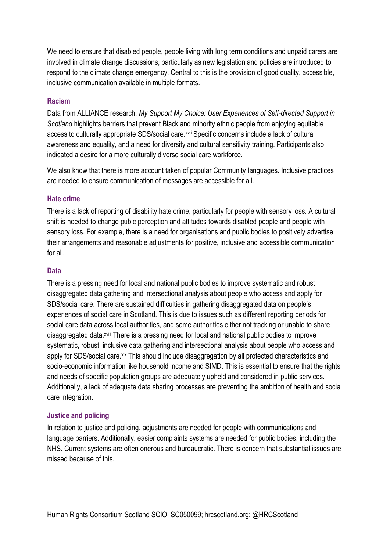We need to ensure that disabled people, people living with long term conditions and unpaid carers are involved in climate change discussions, particularly as new legislation and policies are introduced to respond to the climate change emergency. Central to this is the provision of good quality, accessible, inclusive communication available in multiple formats.

#### **Racism**

Data from ALLIANCE research, *My Support My Choice: User Experiences of Self-directed Support in Scotland* highlights barriers that prevent Black and minority ethnic people from enjoying equitable access to culturally appropriate SDS/social care. XVII Specific concerns include a lack of cultural awareness and equality, and a need for diversity and cultural sensitivity training. Participants also indicated a desire for a more culturally diverse social care workforce.

We also know that there is more account taken of popular Community languages. Inclusive practices are needed to ensure communication of messages are accessible for all.

#### **Hate crime**

There is a lack of reporting of disability hate crime, particularly for people with sensory loss. A cultural shift is needed to change pubic perception and attitudes towards disabled people and people with sensory loss. For example, there is a need for organisations and public bodies to positively advertise their arrangements and reasonable adjustments for positive, inclusive and accessible communication for all.

#### **Data**

There is a pressing need for local and national public bodies to improve systematic and robust disaggregated data gathering and intersectional analysis about people who access and apply for SDS/social care. There are sustained difficulties in gathering disaggregated data on people's experiences of social care in Scotland. This is due to issues such as different reporting periods for social care data across local authorities, and some authorities either not tracking or unable to share disaggregated data.<sup>xviii</sup> There is a pressing need for local and national public bodies to improve systematic, robust, inclusive data gathering and intersectional analysis about people who access and apply for SDS/social care.<sup>xix</sup> This should include disaggregation by all protected characteristics and socio-economic information like household income and SIMD. This is essential to ensure that the rights and needs of specific population groups are adequately upheld and considered in public services. Additionally, a lack of adequate data sharing processes are preventing the ambition of health and social care integration.

#### **Justice and policing**

In relation to justice and policing, adjustments are needed for people with communications and language barriers. Additionally, easier complaints systems are needed for public bodies, including the NHS. Current systems are often onerous and bureaucratic. There is concern that substantial issues are missed because of this.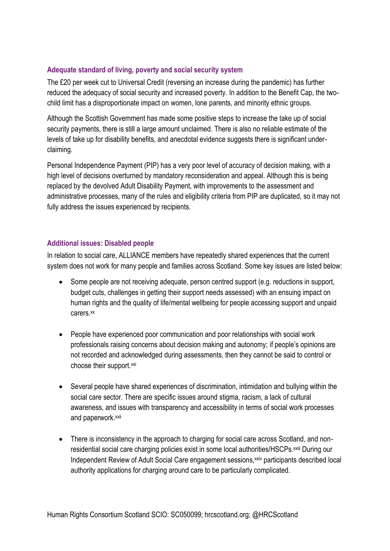### **Adequate standard of living, poverty and social security system**

The £20 per week cut to Universal Credit (reversing an increase during the pandemic) has further reduced the adequacy of social security and increased poverty. In addition to the Benefit Cap, the twochild limit has a disproportionate impact on women, lone parents, and minority ethnic groups.

Although the Scottish Government has made some positive steps to increase the take up of social security payments, there is still a large amount unclaimed. There is also no reliable estimate of the levels of take up for disability benefits, and anecdotal evidence suggests there is significant underclaiming.

Personal Independence Payment (PIP) has a very poor level of accuracy of decision making, with a high level of decisions overturned by mandatory reconsideration and appeal. Although this is being replaced by the devolved Adult Disability Payment, with improvements to the assessment and administrative processes, many of the rules and eligibility criteria from PIP are duplicated, so it may not fully address the issues experienced by recipients.

### **Additional issues: Disabled people**

In relation to social care, ALLIANCE members have repeatedly shared experiences that the current system does not work for many people and families across Scotland. Some key issues are listed below:

- Some people are not receiving adequate, person centred support (e.g. reductions in support, budget cuts, challenges in getting their support needs assessed) with an ensuing impact on human rights and the quality of life/mental wellbeing for people accessing support and unpaid carers.xx
- People have experienced poor communication and poor relationships with social work professionals raising concerns about decision making and autonomy; if people's opinions are not recorded and acknowledged during assessments, then they cannot be said to control or choose their support.xxi
- Several people have shared experiences of discrimination, intimidation and bullying within the social care sector. There are specific issues around stigma, racism, a lack of cultural awareness, and issues with transparency and accessibility in terms of social work processes and paperwork.xxii
- There is inconsistency in the approach to charging for social care across Scotland, and nonresidential social care charging policies exist in some local authorities/HSCPs. xxiii During our Independent Review of Adult Social Care engagement sessions, xxiv participants described local authority applications for charging around care to be particularly complicated.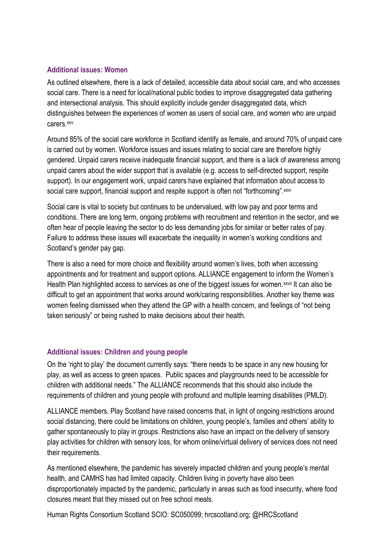#### **Additional issues: Women**

As outlined elsewhere, there is a lack of detailed, accessible data about social care, and who accesses social care. There is a need for local/national public bodies to improve disaggregated data gathering and intersectional analysis. This should explicitly include gender disaggregated data, which distinguishes between the experiences of women as users of social care, and women who are unpaid carers.xxv

Around 85% of the social care workforce in Scotland identify as female, and around 70% of unpaid care is carried out by women. Workforce issues and issues relating to social care are therefore highly gendered. Unpaid carers receive inadequate financial support, and there is a lack of awareness among unpaid carers about the wider support that is available (e.g. access to self-directed support, respite support). In our engagement work, unpaid carers have explained that information about access to social care support, financial support and respite support is often not "forthcoming". xxvi

Social care is vital to society but continues to be undervalued, with low pay and poor terms and conditions. There are long term, ongoing problems with recruitment and retention in the sector, and we often hear of people leaving the sector to do less demanding jobs for similar or better rates of pay. Failure to address these issues will exacerbate the inequality in women's working conditions and Scotland's gender pay gap.

There is also a need for more choice and flexibility around women's lives, both when accessing appointments and for treatment and support options. ALLIANCE engagement to inform the Women's Health Plan highlighted access to services as one of the biggest issues for women.<sup>xxvii</sup> It can also be difficult to get an appointment that works around work/caring responsibilities. Another key theme was women feeling dismissed when they attend the GP with a health concern, and feelings of "not being taken seriously" or being rushed to make decisions about their health.

### **Additional issues: Children and young people**

On the 'right to play' the document currently says: "there needs to be space in any new housing for play, as well as access to green spaces. Public spaces and playgrounds need to be accessible for children with additional needs." The ALLIANCE recommends that this should also include the requirements of children and young people with profound and multiple learning disabilities (PMLD).

ALLIANCE members, Play Scotland have raised concerns that, in light of ongoing restrictions around social distancing, there could be limitations on children, young people's, families and others' ability to gather spontaneously to play in groups. Restrictions also have an impact on the delivery of sensory play activities for children with sensory loss, for whom online/virtual delivery of services does not need their requirements.

As mentioned elsewhere, the pandemic has severely impacted children and young people's mental health, and CAMHS has had limited capacity. Children living in poverty have also been disproportionately impacted by the pandemic, particularly in areas such as food insecurity, where food closures meant that they missed out on free school meals.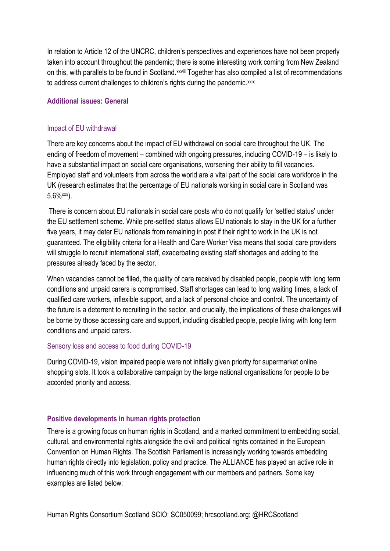In relation to Article 12 of the UNCRC, children's perspectives and experiences have not been properly taken into account throughout the pandemic; there is some interesting work coming from New Zealand on this, with parallels to be found in Scotland. XXVIII Together has also compiled a list of recommendations to address current challenges to children's rights during the pandemic.xxix

### **Additional issues: General**

#### Impact of EU withdrawal

There are key concerns about the impact of EU withdrawal on social care throughout the UK. The ending of freedom of movement – combined with ongoing pressures, including COVID-19 – is likely to have a substantial impact on social care organisations, worsening their ability to fill vacancies. Employed staff and volunteers from across the world are a vital part of the social care workforce in the UK (research estimates that the percentage of EU nationals working in social care in Scotland was  $5.6\%$  xxx).

There is concern about EU nationals in social care posts who do not qualify for 'settled status' under the EU settlement scheme. While pre-settled status allows EU nationals to stay in the UK for a further five years, it may deter EU nationals from remaining in post if their right to work in the UK is not guaranteed. The eligibility criteria for a Health and Care Worker Visa means that social care providers will struggle to recruit international staff, exacerbating existing staff shortages and adding to the pressures already faced by the sector.

When vacancies cannot be filled, the quality of care received by disabled people, people with long term conditions and unpaid carers is compromised. Staff shortages can lead to long waiting times, a lack of qualified care workers, inflexible support, and a lack of personal choice and control. The uncertainty of the future is a deterrent to recruiting in the sector, and crucially, the implications of these challenges will be borne by those accessing care and support, including disabled people, people living with long term conditions and unpaid carers.

#### Sensory loss and access to food during COVID-19

During COVID-19, vision impaired people were not initially given priority for supermarket online shopping slots. It took a collaborative campaign by the large national organisations for people to be accorded priority and access.

#### **Positive developments in human rights protection**

There is a growing focus on human rights in Scotland, and a marked commitment to embedding social, cultural, and environmental rights alongside the civil and political rights contained in the European Convention on Human Rights. The Scottish Parliament is increasingly working towards embedding human rights directly into legislation, policy and practice. The ALLIANCE has played an active role in influencing much of this work through engagement with our members and partners. Some key examples are listed below: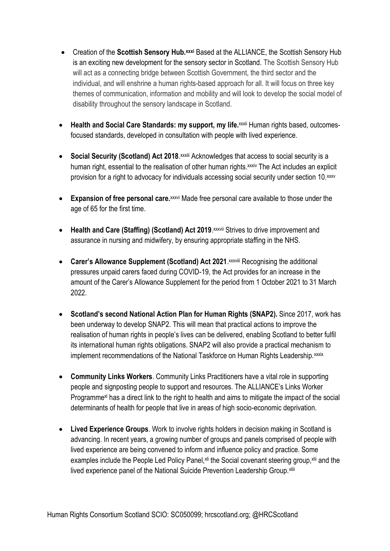- Creation of the **Scottish Sensory Hub.xxxi** Based at the ALLIANCE, the Scottish Sensory Hub is an exciting new development for the sensory sector in Scotland. The Scottish Sensory Hub will act as a connecting bridge between Scottish Government, the third sector and the individual, and will enshrine a human rights-based approach for all. It will focus on three key themes of communication, information and mobility and will look to develop the social model of disability throughout the sensory landscape in Scotland.
- **Health and Social Care Standards: my support, my life.**xxxii Human rights based, outcomesfocused standards, developed in consultation with people with lived experience.
- **Social Security (Scotland) Act 2018**. *XXXIII Acknowledges that access to social security is a* human right, essential to the realisation of other human rights.<sup>xxxiv</sup> The Act includes an explicit provision for a right to advocacy for individuals accessing social security under section 10.xxxv
- **Expansion of free personal care.**xxxvi Made free personal care available to those under the age of 65 for the first time.
- Health and Care (Staffing) (Scotland) Act 2019. XXXVII Strives to drive improvement and assurance in nursing and midwifery, by ensuring appropriate staffing in the NHS.
- **Carer's Allowance Supplement (Scotland) Act 2021. XXXVIII Recognising the additional** pressures unpaid carers faced during COVID-19, the Act provides for an increase in the amount of the Carer's Allowance Supplement for the period from 1 October 2021 to 31 March 2022.
- **Scotland's second National Action Plan for Human Rights (SNAP2).** Since 2017, work has been underway to develop SNAP2. This will mean that practical actions to improve the realisation of human rights in people's lives can be delivered, enabling Scotland to better fulfil its international human rights obligations. SNAP2 will also provide a practical mechanism to implement recommendations of the National Taskforce on Human Rights Leadership. xxxix
- **Community Links Workers**. Community Links Practitioners have a vital role in supporting people and signposting people to support and resources. The ALLIANCE's Links Worker Programme<sup>x</sup> has a direct link to the right to health and aims to mitigate the impact of the social determinants of health for people that live in areas of high socio-economic deprivation.
- **Lived Experience Groups**. Work to involve rights holders in decision making in Scotland is advancing. In recent years, a growing number of groups and panels comprised of people with lived experience are being convened to inform and influence policy and practice. Some examples include the People Led Policy Panel, xii the Social covenant steering group, xiii and the lived experience panel of the National Suicide Prevention Leadership Group. Xliii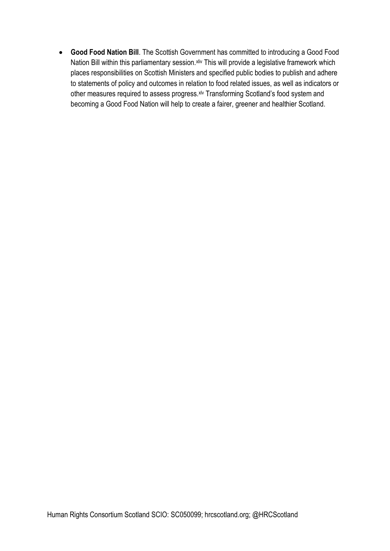**Good Food Nation Bill**. The Scottish Government has committed to introducing a Good Food Nation Bill within this parliamentary session. Xiiv This will provide a legislative framework which places responsibilities on Scottish Ministers and specified public bodies to publish and adhere to statements of policy and outcomes in relation to food related issues, as well as indicators or other measures required to assess progress.<sup>xlv</sup> Transforming Scotland's food system and becoming a Good Food Nation will help to create a fairer, greener and healthier Scotland.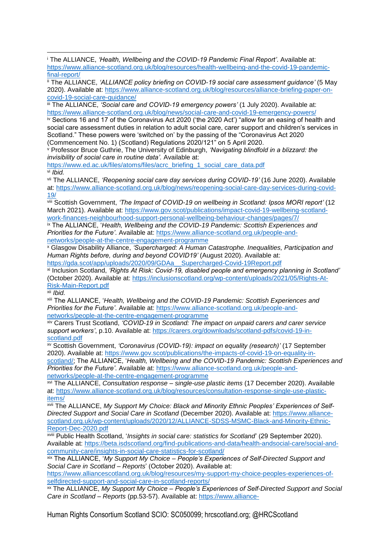iii The ALLIANCE, *'Social care and COVID-19 emergency powers'* (1 July 2020). Available at: <https://www.alliance-scotland.org.uk/blog/news/social-care-and-covid-19-emergency-powers/>

iv Sections 16 and 17 of the Coronavirus Act 2020 ('the 2020 Act') "allow for an easing of health and social care assessment duties in relation to adult social care, carer support and children's services in Scotland." These powers were 'switched on' by the passing of the "Coronavirus Act 2020 (Commencement No. 1) (Scotland) Regulations 2020/121" on 5 April 2020.

<sup>v</sup> Professor Bruce Guthrie, The University of Edinburgh, *'Navigating blindfold in a blizzard: the invisibility of social care in routine data'.* Available at:

[https://www.ed.ac.uk/files/atoms/files/acrc\\_briefing\\_1\\_social\\_care\\_data.pdf](https://www.ed.ac.uk/files/atoms/files/acrc_briefing_1_social_care_data.pdf) vi *Ibid.*

vii The ALLIANCE, *'Reopening social care day services during COVID-19'* (16 June 2020). Available at: [https://www.alliance-scotland.org.uk/blog/news/reopening-social-care-day-services-during-covid-](https://www.alliance-scotland.org.uk/blog/news/reopening-social-care-day-services-during-covid-19/)[19/](https://www.alliance-scotland.org.uk/blog/news/reopening-social-care-day-services-during-covid-19/)

viii Scottish Government, *'The Impact of COVID-19 on wellbeing in Scotland: Ipsos MORI report'* (12 March 2021). Available at: [https://www.gov.scot/publications/impact-covid-19-wellbeing-scotland](https://www.gov.scot/publications/impact-covid-19-wellbeing-scotland-work-finances-neighbourhood-support-personal-wellbeing-behaviour-changes/pages/7/)[work-finances-neighbourhood-support-personal-wellbeing-behaviour-changes/pages/7/](https://www.gov.scot/publications/impact-covid-19-wellbeing-scotland-work-finances-neighbourhood-support-personal-wellbeing-behaviour-changes/pages/7/)

ix The ALLIANCE, '*Health, Wellbeing and the COVID-19 Pandemic: Scottish Experiences and Priorities for the Future'*. Available at: [https://www.alliance-scotland.org.uk/people-and](https://www.alliance-scotland.org.uk/people-and-networks/people-at-the-centre-engagement-programme)[networks/people-at-the-centre-engagement-programme](https://www.alliance-scotland.org.uk/people-and-networks/people-at-the-centre-engagement-programme)

<sup>x</sup> Glasgow Disability Alliance, *'Supercharged: A Human Catastrophe. Inequalities, Participation and Human Rights before, during and beyond COVID19'* (August 2020). Available at: [https://gda.scot/app/uploads/2020/09/GDAa\\_\\_Supercharged-Covid-19Report.pdf](https://gda.scot/app/uploads/2020/09/GDAa__Supercharged-Covid-19Report.pdf)

xi Inclusion Scotland, *'Rights At Risk: Covid-19, disabled people and emergency planning in Scotland'* (October 2020). Available at: [https://inclusionscotland.org/wp-content/uploads/2021/05/Rights-At-](https://inclusionscotland.org/wp-content/uploads/2021/05/Rights-At-Risk-Main-Report.pdf)[Risk-Main-Report.pdf](https://inclusionscotland.org/wp-content/uploads/2021/05/Rights-At-Risk-Main-Report.pdf)

xii *Ibid.*

xiii The ALLIANCE, '*Health, Wellbeing and the COVID-19 Pandemic: Scottish Experiences and Priorities for the Future'*. Available at: [https://www.alliance-scotland.org.uk/people-and](https://www.alliance-scotland.org.uk/people-and-networks/people-at-the-centre-engagement-programme)[networks/people-at-the-centre-engagement-programme](https://www.alliance-scotland.org.uk/people-and-networks/people-at-the-centre-engagement-programme)

xiv Carers Trust Scotland, *'COVID-19 in Scotland: The impact on unpaid carers and carer service support workers'*, p.10. Available at: [https://carers.org/downloads/scotland-pdfs/covid-19-in](https://carers.org/downloads/scotland-pdfs/covid-19-in-scotland.pdf)[scotland.pdf](https://carers.org/downloads/scotland-pdfs/covid-19-in-scotland.pdf)

xv Scottish Government, *'Coronavirus (COVID-19): impact on equality (research)'* (17 September 2020). Available at: [https://www.gov.scot/publications/the-impacts-of-covid-19-on-equality-in](https://www.gov.scot/publications/the-impacts-of-covid-19-on-equality-in-scotland/)[scotland/;](https://www.gov.scot/publications/the-impacts-of-covid-19-on-equality-in-scotland/) The ALLIANCE, '*Health, Wellbeing and the COVID-19 Pandemic: Scottish Experiences and Priorities for the Future'*. Available at: [https://www.alliance-scotland.org.uk/people-and](https://www.alliance-scotland.org.uk/people-and-networks/people-at-the-centre-engagement-programme)[networks/people-at-the-centre-engagement-programme](https://www.alliance-scotland.org.uk/people-and-networks/people-at-the-centre-engagement-programme)

xvi The ALLIANCE, *Consultation response – single-use plastic items* (17 December 2020). Available at: [https://www.alliance-scotland.org.uk/blog/resources/consultation-response-single-use-plastic](https://www.alliance-scotland.org.uk/blog/resources/consultation-response-single-use-plastic-items/)[items/](https://www.alliance-scotland.org.uk/blog/resources/consultation-response-single-use-plastic-items/)

xvii The ALLIANCE, *My Support My Choice: Black and Minority Ethnic Peoples' Experiences of Self-Directed Support and Social Care in Scotland* (December 2020). Available at: [https://www.alliance](https://www.alliance-scotland.org.uk/wp-content/uploads/2020/12/ALLIANCE-SDSS-MSMC-Black-and-Minority-Ethnic-Report-Dec-2020.pdf)[scotland.org.uk/wp-content/uploads/2020/12/ALLIANCE-SDSS-MSMC-Black-and-Minority-Ethnic-](https://www.alliance-scotland.org.uk/wp-content/uploads/2020/12/ALLIANCE-SDSS-MSMC-Black-and-Minority-Ethnic-Report-Dec-2020.pdf)[Report-Dec-2020.pdf](https://www.alliance-scotland.org.uk/wp-content/uploads/2020/12/ALLIANCE-SDSS-MSMC-Black-and-Minority-Ethnic-Report-Dec-2020.pdf)

xviii Public Health Scotland, '*Insights in social care: statistics for Scotland*' (29 September 2020). Available at: [https://beta.isdscotland.org/find-publications-and-data/health-andsocial-care/social-and](https://beta.isdscotland.org/find-publications-and-data/health-andsocial-care/social-and-community-care/insights-in-social-care-statistics-for-scotland/)[community-care/insights-in-social-care-statistics-for-scotland/](https://beta.isdscotland.org/find-publications-and-data/health-andsocial-care/social-and-community-care/insights-in-social-care-statistics-for-scotland/)

xix The ALLIANCE, '*My Support My Choice – People's Experiences of Self-Directed Support and Social Care in Scotland – Reports*' (October 2020). Available at:

[https://www.alliancescotland.org.uk/blog/resources/my-support-my-choice-peoples-experiences-of](https://www.alliancescotland.org.uk/blog/resources/my-support-my-choice-peoples-experiences-of-selfdirected-support-and-social-care-in-scotland-reports/)[selfdirected-support-and-social-care-in-scotland-reports/](https://www.alliancescotland.org.uk/blog/resources/my-support-my-choice-peoples-experiences-of-selfdirected-support-and-social-care-in-scotland-reports/)

xx The ALLIANCE, *My Support My Choice – People's Experiences of Self-Directed Support and Social Care in Scotland – Reports* (pp.53-57). Available at: [https://www.alliance-](https://www.alliance-scotland.org.uk/blog/resources/my-support-my-choice-peoples-experiences-of-self-directed-support-and-social-care-in-scotland-reports/)

<sup>i</sup> The ALLIANCE, *'Health, Wellbeing and the COVID-19 Pandemic Final Report'*. Available at: [https://www.alliance-scotland.org.uk/blog/resources/health-wellbeing-and-the-covid-19-pandemic](https://www.alliance-scotland.org.uk/blog/resources/health-wellbeing-and-the-covid-19-pandemic-final-report/)[final-report/](https://www.alliance-scotland.org.uk/blog/resources/health-wellbeing-and-the-covid-19-pandemic-final-report/) **.** 

ii The ALLIANCE, *'ALLIANCE policy briefing on COVID-19 social care assessment guidance'* (5 May 2020). Available at: [https://www.alliance-scotland.org.uk/blog/resources/alliance-briefing-paper-on](https://www.alliance-scotland.org.uk/blog/resources/alliance-briefing-paper-on-covid-19-social-care-guidance/)[covid-19-social-care-guidance/](https://www.alliance-scotland.org.uk/blog/resources/alliance-briefing-paper-on-covid-19-social-care-guidance/)